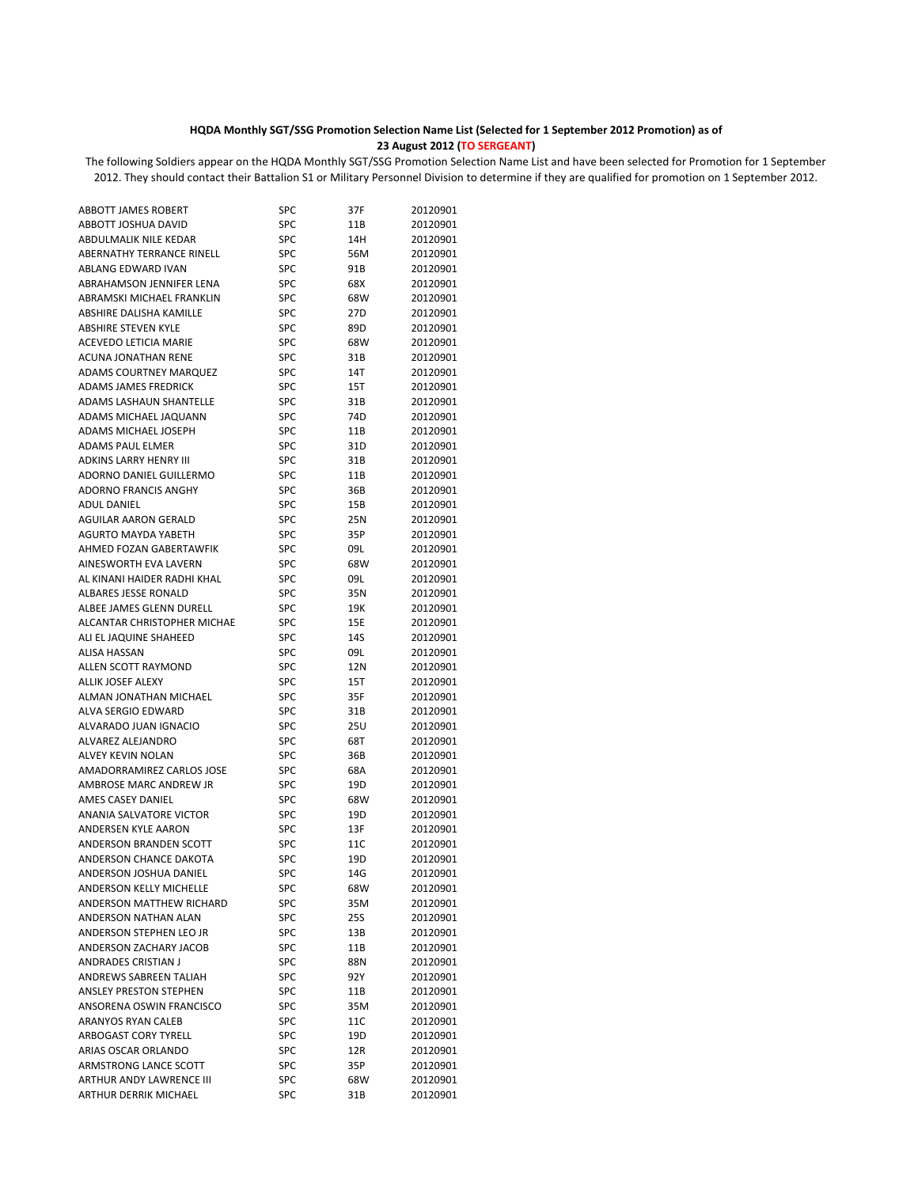## **HQDA Monthly SGT/SSG Promotion Selection Name List (Selected for 1 September 2012 Promotion) as of 23 August 2012 (TO SERGEANT)**

The following Soldiers appear on the HQDA Monthly SGT/SSG Promotion Selection Name List and have been selected for Promotion for 1 September 2012. They should contact their Battalion S1 or Military Personnel Division to determine if they are qualified for promotion on 1 September 2012.

| <b>ABBOTT JAMES ROBERT</b>         | SPC        | 37F             | 20120901 |
|------------------------------------|------------|-----------------|----------|
| ABBOTT JOSHUA DAVID                | SPC        | 11B             | 20120901 |
| ABDULMALIK NILE KEDAR              | SPC        | 14H             | 20120901 |
| ABERNATHY TERRANCE RINELL          | <b>SPC</b> | 56M             | 20120901 |
| ABLANG EDWARD IVAN                 | <b>SPC</b> | 91B             | 20120901 |
| ABRAHAMSON JENNIFER LENA           | <b>SPC</b> | 68X             | 20120901 |
| ABRAMSKI MICHAEL FRANKLIN          | <b>SPC</b> | 68W             | 20120901 |
| ABSHIRE DALISHA KAMILLE            | <b>SPC</b> | 27D             | 20120901 |
| <b>ABSHIRE STEVEN KYLE</b>         | <b>SPC</b> | 89 <sub>D</sub> | 20120901 |
| ACEVEDO LETICIA MARIE              | <b>SPC</b> | 68W             | 20120901 |
| <b>ACUNA JONATHAN RENE</b>         | SPC        | 31B             | 20120901 |
| <b>ADAMS COURTNEY MARQUEZ</b>      | SPC        | 14T             | 20120901 |
| ADAMS JAMES FREDRICK               | <b>SPC</b> | 15T             | 20120901 |
| ADAMS LASHAUN SHANTELLE            | SPC        | 31B             | 20120901 |
| ADAMS MICHAEL JAQUANN              | SPC        | 74D             | 20120901 |
| ADAMS MICHAEL JOSEPH               | <b>SPC</b> | 11B             | 20120901 |
| ADAMS PAUL ELMER                   | SPC        | 31D             | 20120901 |
| ADKINS LARRY HENRY III             | <b>SPC</b> | 31B             | 20120901 |
| ADORNO DANIEL GUILLERMO            | <b>SPC</b> |                 | 20120901 |
| <b>ADORNO FRANCIS ANGHY</b>        | <b>SPC</b> | 11B             | 20120901 |
|                                    | <b>SPC</b> | 36B             |          |
| ADUL DANIEL                        |            | 15B             | 20120901 |
| <b>AGUILAR AARON GERALD</b>        | <b>SPC</b> | 25N             | 20120901 |
| <b>AGURTO MAYDA YABETH</b>         | <b>SPC</b> | 35P             | 20120901 |
| AHMED FOZAN GABERTAWFIK            | <b>SPC</b> | 09L             | 20120901 |
| AINESWORTH EVA LAVERN              | SPC        | 68W             | 20120901 |
| AL KINANI HAIDER RADHI KHAL        | <b>SPC</b> | 09L             | 20120901 |
| <b>ALBARES JESSE RONALD</b>        | <b>SPC</b> | 35N             | 20120901 |
| ALBEE JAMES GLENN DURELL           | SPC        | 19K             | 20120901 |
| <b>ALCANTAR CHRISTOPHER MICHAE</b> | <b>SPC</b> | 15E             | 20120901 |
| ALI EL JAQUINE SHAHEED             | <b>SPC</b> | 14S             | 20120901 |
| <b>ALISA HASSAN</b>                | SPC        | 09L             | 20120901 |
| ALLEN SCOTT RAYMOND                | <b>SPC</b> | 12N             | 20120901 |
| ALLIK JOSEF ALEXY                  | SPC        | 15T             | 20120901 |
| ALMAN JONATHAN MICHAEL             | <b>SPC</b> | 35F             | 20120901 |
| ALVA SERGIO EDWARD                 | <b>SPC</b> | 31B             | 20120901 |
| ALVARADO JUAN IGNACIO              | <b>SPC</b> | 25U             | 20120901 |
| ALVAREZ ALEJANDRO                  | SPC        | 68T             | 20120901 |
| ALVEY KEVIN NOLAN                  | <b>SPC</b> | 36B             | 20120901 |
| AMADORRAMIREZ CARLOS JOSE          | SPC        | 68A             | 20120901 |
| AMBROSE MARC ANDREW JR             | SPC        | 19D             | 20120901 |
| AMES CASEY DANIEL                  | <b>SPC</b> | 68W             | 20120901 |
| ANANIA SALVATORE VICTOR            | <b>SPC</b> | 19 <sub>D</sub> | 20120901 |
| <b>ANDERSEN KYLE AARON</b>         | SPC        | 13F             | 20120901 |
| ANDERSON BRANDEN SCOTT             | SPC        | 11C             | 20120901 |
| ANDERSON CHANCE DAKOTA             | SPC        | 19D             | 20120901 |
| ANDERSON JOSHUA DANIEL             | SPC        | 14G             | 20120901 |
| ANDERSON KELLY MICHELLE            | SPC        | 68W             | 20120901 |
| ANDERSON MATTHEW RICHARD           | SPC        | 35M             | 20120901 |
| ANDERSON NATHAN ALAN               | SPC        | 25S             | 20120901 |
| ANDERSON STEPHEN LEO JR            | SPC        | 13B             | 20120901 |
| ANDERSON ZACHARY JACOB             | SPC        | 11B             | 20120901 |
| ANDRADES CRISTIAN J                | SPC        | 88N             | 20120901 |
| ANDREWS SABREEN TALIAH             | SPC        | 92 Y            | 20120901 |
| <b>ANSLEY PRESTON STEPHEN</b>      | SPC        | 11B             | 20120901 |
| ANSORENA OSWIN FRANCISCO           | SPC        | 35M             | 20120901 |
| ARANYOS RYAN CALEB                 | SPC        | 11C             | 20120901 |
| ARBOGAST CORY TYRELL               | SPC        | 19D             | 20120901 |
| ARIAS OSCAR ORLANDO                | SPC        | 12R             | 20120901 |
| ARMSTRONG LANCE SCOTT              | SPC        | 35P             | 20120901 |
| ARTHUR ANDY LAWRENCE III           | SPC        | 68W             | 20120901 |
| ARTHUR DERRIK MICHAEL              | SPC        | 31B             | 20120901 |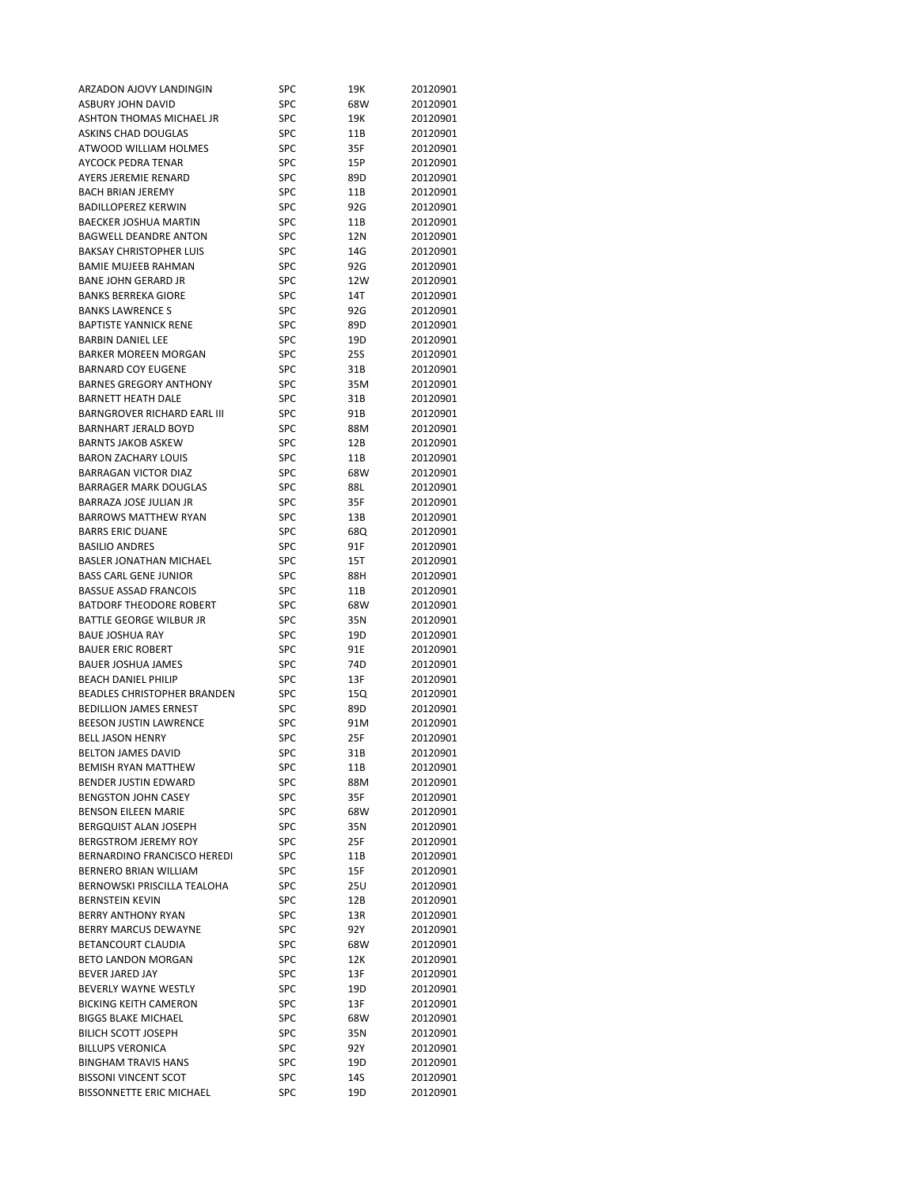| ARZADON AJOVY LANDINGIN            | SPC        | 19K  | 20120901             |
|------------------------------------|------------|------|----------------------|
| ASBURY JOHN DAVID                  | SPC        | 68W  | 20120901             |
| ASHTON THOMAS MICHAEL JR           | <b>SPC</b> | 19K  | 20120901             |
| <b>ASKINS CHAD DOUGLAS</b>         | SPC        | 11B  | 20120901             |
| ATWOOD WILLIAM HOLMES              | SPC        | 35F  | 20120901             |
| AYCOCK PEDRA TENAR                 | <b>SPC</b> | 15P  | 20120901             |
| <b>AYERS JEREMIE RENARD</b>        | SPC        | 89D  | 20120901             |
| <b>BACH BRIAN JEREMY</b>           | <b>SPC</b> | 11B  | 20120901             |
| <b>BADILLOPEREZ KERWIN</b>         | <b>SPC</b> | 92G  | 20120901             |
| BAECKER JOSHUA MARTIN              | <b>SPC</b> | 11B  | 20120901             |
| <b>BAGWELL DEANDRE ANTON</b>       | SPC        | 12N  | 20120901             |
| <b>BAKSAY CHRISTOPHER LUIS</b>     | SPC        | 14G  | 20120901             |
| <b>BAMIE MUJEEB RAHMAN</b>         | SPC        | 92G  | 20120901             |
| <b>BANE JOHN GERARD JR</b>         |            |      |                      |
| <b>BANKS BERREKA GIORE</b>         | <b>SPC</b> | 12W  | 20120901             |
|                                    | SPC        | 14T  | 20120901             |
| <b>BANKS LAWRENCE S</b>            | SPC        | 92G  | 20120901             |
| <b>BAPTISTE YANNICK RENE</b>       | <b>SPC</b> | 89D  | 20120901             |
| <b>BARBIN DANIEL LEE</b>           | SPC        | 19D  | 20120901             |
| <b>BARKER MOREEN MORGAN</b>        | SPC        | 25S  | 20120901             |
| <b>BARNARD COY EUGENE</b>          | <b>SPC</b> | 31B  | 20120901             |
| <b>BARNES GREGORY ANTHONY</b>      | <b>SPC</b> | 35M  | 20120901             |
| <b>BARNETT HEATH DALE</b>          | <b>SPC</b> | 31B  | 20120901             |
| <b>BARNGROVER RICHARD EARL III</b> | <b>SPC</b> | 91B  | 20120901             |
| <b>BARNHART JERALD BOYD</b>        | <b>SPC</b> | 88M  | 20120901             |
| <b>BARNTS JAKOB ASKEW</b>          | <b>SPC</b> | 12B  | 20120901             |
| <b>BARON ZACHARY LOUIS</b>         | SPC        | 11B  | 20120901             |
| <b>BARRAGAN VICTOR DIAZ</b>        | SPC        | 68W  | 20120901             |
| <b>BARRAGER MARK DOUGLAS</b>       | <b>SPC</b> | 88L  | 20120901             |
| BARRAZA JOSE JULIAN JR             | <b>SPC</b> | 35F  | 20120901             |
| <b>BARROWS MATTHEW RYAN</b>        | SPC        | 13B  | 20120901             |
| <b>BARRS ERIC DUANE</b>            | <b>SPC</b> | 68Q  | 20120901             |
| <b>BASILIO ANDRES</b>              | SPC        | 91F  | 20120901             |
| <b>BASLER JONATHAN MICHAEL</b>     | <b>SPC</b> | 15T  | 20120901             |
| <b>BASS CARL GENE JUNIOR</b>       | <b>SPC</b> | 88H  | 20120901             |
| <b>BASSUE ASSAD FRANCOIS</b>       | <b>SPC</b> | 11B  | 20120901             |
| <b>BATDORF THEODORE ROBERT</b>     | <b>SPC</b> | 68W  | 20120901             |
| BATTLE GEORGE WILBUR JR            | SPC        | 35N  | 20120901             |
| <b>BAUE JOSHUA RAY</b>             | <b>SPC</b> | 19D  | 20120901             |
| <b>BAUER ERIC ROBERT</b>           | SPC        | 91E  | 20120901             |
| <b>BAUER JOSHUA JAMES</b>          | SPC        | 74D  | 20120901             |
| <b>BEACH DANIEL PHILIP</b>         | <b>SPC</b> | 13F  | 20120901             |
| <b>BEADLES CHRISTOPHER BRANDEN</b> | SPC        | 15Q  | 20120901             |
| <b>BEDILLION JAMES ERNEST</b>      | SPC        | 89D  | 20120901             |
| BEESON JUSTIN LAWRENCE             | <b>SPC</b> | 91M  | 20120901             |
| <b>BELL JASON HENRY</b>            | SPC        | 25F  | 20120901             |
| BELTON JAMES DAVID                 | SPC        | 31B  | 20120901             |
| <b>BEMISH RYAN MATTHEW</b>         | SPC        | 11B  | 20120901             |
| <b>BENDER JUSTIN EDWARD</b>        | SPC        |      |                      |
| <b>BENGSTON JOHN CASEY</b>         | SPC        | 88M  | 20120901<br>20120901 |
| <b>BENSON EILEEN MARIE</b>         |            | 35F  |                      |
|                                    | SPC        | 68W  | 20120901             |
| <b>BERGQUIST ALAN JOSEPH</b>       | SPC        | 35N  | 20120901             |
| <b>BERGSTROM JEREMY ROY</b>        | SPC        | 25F  | 20120901             |
| BERNARDINO FRANCISCO HEREDI        | SPC        | 11B  | 20120901             |
| BERNERO BRIAN WILLIAM              | SPC        | 15F  | 20120901             |
| <b>BERNOWSKI PRISCILLA TEALOHA</b> | SPC        | 25U  | 20120901             |
| <b>BERNSTEIN KEVIN</b>             | SPC        | 12B  | 20120901             |
| BERRY ANTHONY RYAN                 | SPC        | 13R  | 20120901             |
| BERRY MARCUS DEWAYNE               | SPC        | 92Y  | 20120901             |
| BETANCOURT CLAUDIA                 | <b>SPC</b> | 68W  | 20120901             |
| BETO LANDON MORGAN                 | SPC        | 12K  | 20120901             |
| <b>BEVER JARED JAY</b>             | SPC        | 13F  | 20120901             |
| BEVERLY WAYNE WESTLY               | SPC        | 19D  | 20120901             |
| <b>BICKING KEITH CAMERON</b>       | SPC        | 13F  | 20120901             |
| <b>BIGGS BLAKE MICHAEL</b>         | SPC        | 68W  | 20120901             |
| BILICH SCOTT JOSEPH                |            |      |                      |
|                                    | SPC        | 35N  | 20120901             |
| <b>BILLUPS VERONICA</b>            | SPC        | 92 Y | 20120901             |
| <b>BINGHAM TRAVIS HANS</b>         | SPC        | 19D  | 20120901             |
| <b>BISSONI VINCENT SCOT</b>        | SPC        | 14S  | 20120901             |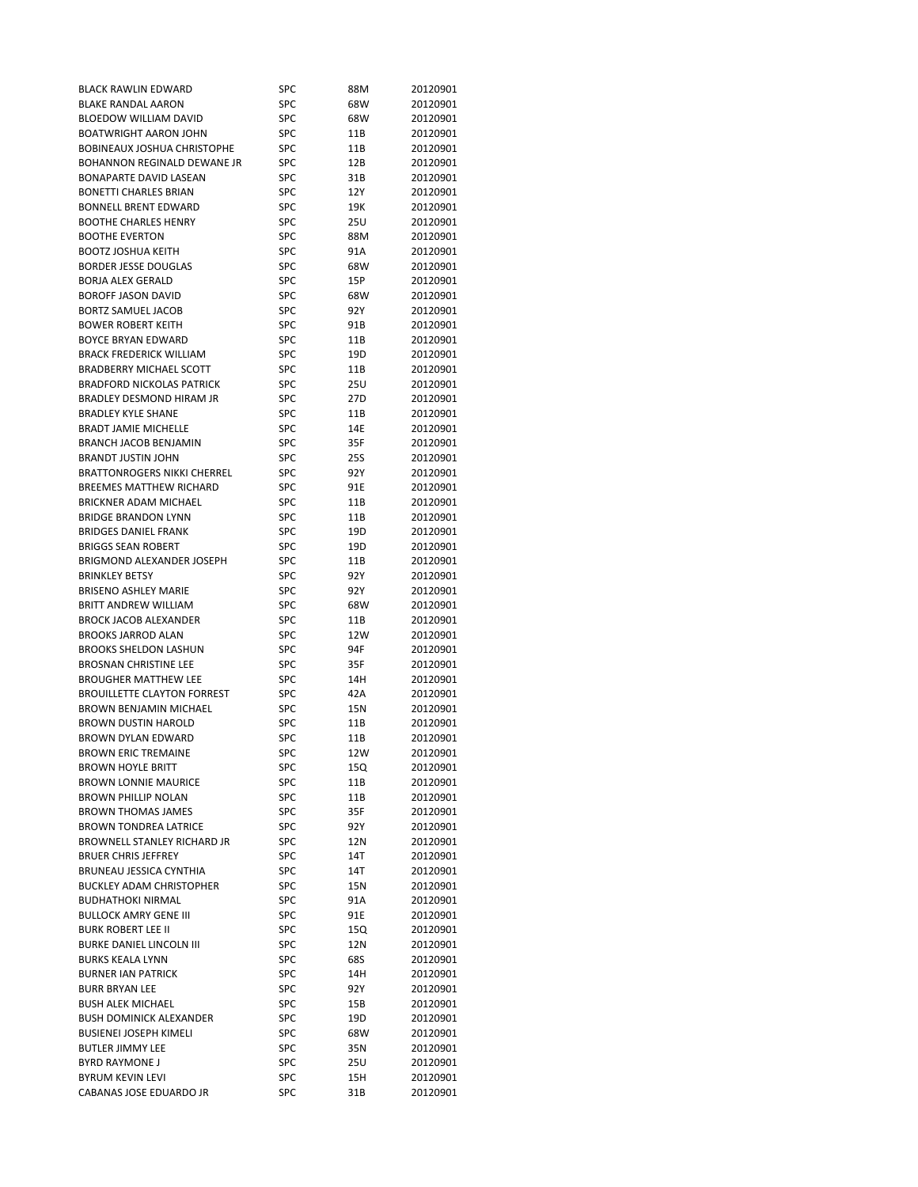| <b>BLACK RAWLIN EDWARD</b>                          | SPC        | 88M  | 20120901             |
|-----------------------------------------------------|------------|------|----------------------|
| <b>BLAKE RANDAL AARON</b>                           | SPC        | 68W  | 20120901             |
| <b>BLOEDOW WILLIAM DAVID</b>                        | SPC        | 68W  | 20120901             |
| <b>BOATWRIGHT AARON JOHN</b>                        | SPC        | 11B  | 20120901             |
| <b>BOBINEAUX JOSHUA CHRISTOPHE</b>                  | SPC        | 11B  | 20120901             |
| BOHANNON REGINALD DEWANE JR                         | SPC        | 12B  | 20120901             |
| <b>BONAPARTE DAVID LASEAN</b>                       | SPC        | 31B  | 20120901             |
| <b>BONETTI CHARLES BRIAN</b>                        | SPC        | 12Y  | 20120901             |
| <b>BONNELL BRENT EDWARD</b>                         | SPC        | 19K  | 20120901             |
| <b>BOOTHE CHARLES HENRY</b>                         | SPC        | 25U  | 20120901             |
| <b>BOOTHE EVERTON</b>                               | SPC        | 88M  | 20120901             |
| <b>BOOTZ JOSHUA KEITH</b>                           | <b>SPC</b> | 91A  | 20120901             |
| <b>BORDER JESSE DOUGLAS</b>                         | SPC        | 68W  | 20120901             |
| <b>BORJA ALEX GERALD</b>                            | SPC        | 15P  | 20120901             |
| <b>BOROFF JASON DAVID</b>                           | SPC        | 68W  | 20120901             |
| BORTZ SAMUEL JACOB                                  | SPC        | 92 Y | 20120901             |
| <b>BOWER ROBERT KEITH</b>                           | SPC        | 91B  | 20120901             |
| BOYCE BRYAN EDWARD                                  | SPC        | 11B  | 20120901             |
| <b>BRACK FREDERICK WILLIAM</b>                      | SPC        | 19D  | 20120901             |
| <b>BRADBERRY MICHAEL SCOTT</b>                      | SPC        | 11B  | 20120901             |
| <b>BRADFORD NICKOLAS PATRICK</b>                    | SPC        | 25U  | 20120901             |
| BRADLEY DESMOND HIRAM JR                            | SPC        | 27D  | 20120901             |
| <b>BRADLEY KYLE SHANE</b>                           | SPC        | 11B  | 20120901             |
| <b>BRADT JAMIE MICHELLE</b>                         | SPC        | 14E  | 20120901             |
| BRANCH JACOB BENJAMIN                               | SPC        | 35F  | 20120901             |
| <b>BRANDT JUSTIN JOHN</b>                           | SPC        | 25S  | 20120901             |
| <b>BRATTONROGERS NIKKI CHERREL</b>                  | SPC        |      |                      |
|                                                     |            | 92 Y | 20120901             |
| <b>BREEMES MATTHEW RICHARD</b>                      | SPC        | 91E  | 20120901             |
| BRICKNER ADAM MICHAEL<br><b>BRIDGE BRANDON LYNN</b> | SPC        | 11B  | 20120901<br>20120901 |
|                                                     | SPC        | 11B  |                      |
| <b>BRIDGES DANIEL FRANK</b>                         | SPC        | 19D  | 20120901             |
| <b>BRIGGS SEAN ROBERT</b>                           | SPC        | 19D  | 20120901             |
| BRIGMOND ALEXANDER JOSEPH                           | SPC        | 11B  | 20120901             |
| <b>BRINKLEY BETSY</b>                               | SPC        | 92 Y | 20120901             |
| <b>BRISENO ASHLEY MARIE</b>                         | SPC        | 92Y  | 20120901             |
| BRITT ANDREW WILLIAM                                | SPC        | 68W  | 20120901             |
| <b>BROCK JACOB ALEXANDER</b>                        | SPC        | 11B  | 20120901             |
| <b>BROOKS JARROD ALAN</b>                           | SPC        | 12W  | 20120901             |
| <b>BROOKS SHELDON LASHUN</b>                        | SPC        | 94F  | 20120901             |
| <b>BROSNAN CHRISTINE LEE</b>                        | SPC        | 35F  | 20120901             |
| <b>BROUGHER MATTHEW LEE</b>                         | SPC        | 14H  | 20120901             |
| <b>BROUILLETTE CLAYTON FORREST</b>                  | SPC        | 42A  | 20120901             |
| <b>BROWN BENJAMIN MICHAEL</b>                       | SPC        | 15N  | 20120901             |
| <b>BROWN DUSTIN HAROLD</b>                          | SPC        | 11B  | 20120901             |
| <b>BROWN DYLAN EDWARD</b>                           | SPC        | 11B  | 20120901             |
| <b>BROWN ERIC TREMAINE</b>                          | SPC        | 12W  | 20120901             |
| <b>BROWN HOYLE BRITT</b>                            | SPC        | 15Q  | 20120901             |
| <b>BROWN LONNIE MAURICE</b>                         | SPC        | 11B  | 20120901             |
| <b>BROWN PHILLIP NOLAN</b>                          | SPC        | 11B  | 20120901             |
| <b>BROWN THOMAS JAMES</b>                           | SPC        | 35F  | 20120901             |
| <b>BROWN TONDREA LATRICE</b>                        | SPC        | 92 Y | 20120901             |
| BROWNELL STANLEY RICHARD JR                         | SPC        | 12N  | 20120901             |
| <b>BRUER CHRIS JEFFREY</b>                          | SPC        | 14T  | 20120901             |
| BRUNEAU JESSICA CYNTHIA                             | <b>SPC</b> | 14T  | 20120901             |
| <b>BUCKLEY ADAM CHRISTOPHER</b>                     | SPC        | 15N  | 20120901             |
| <b>BUDHATHOKI NIRMAL</b>                            | SPC        | 91A  | 20120901             |
| <b>BULLOCK AMRY GENE III</b>                        | SPC        | 91E  | 20120901             |
| <b>BURK ROBERT LEE II</b>                           | SPC        | 15Q  | 20120901             |
| BURKE DANIEL LINCOLN III                            | SPC        | 12N  | 20120901             |
| <b>BURKS KEALA LYNN</b>                             | SPC        | 68S  | 20120901             |
| <b>BURNER IAN PATRICK</b>                           | <b>SPC</b> | 14H  | 20120901             |
| <b>BURR BRYAN LEE</b>                               | SPC        | 92 Y | 20120901             |
| <b>BUSH ALEK MICHAEL</b>                            | SPC        | 15B  | 20120901             |
| <b>BUSH DOMINICK ALEXANDER</b>                      | SPC        | 19D  | 20120901             |
| <b>BUSIENEI JOSEPH KIMELI</b>                       | SPC        | 68W  | 20120901             |
| <b>BUTLER JIMMY LEE</b>                             | SPC        | 35N  | 20120901             |
| <b>BYRD RAYMONE J</b>                               | SPC        | 25U  | 20120901             |
| <b>BYRUM KEVIN LEVI</b>                             | SPC        | 15H  | 20120901             |
| CABANAS JOSE EDUARDO JR                             | SPC        | 31B  | 20120901             |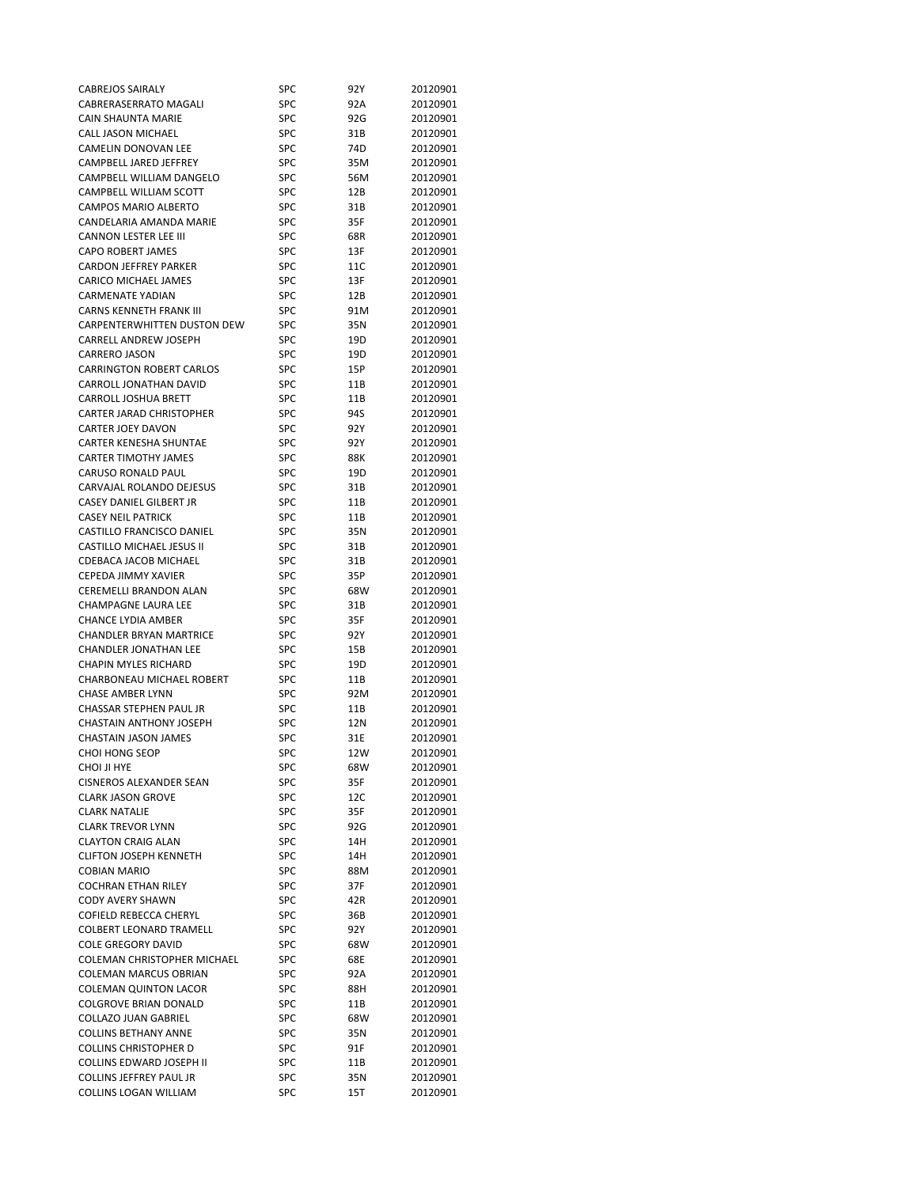| <b>CABREJOS SAIRALY</b>            | SPC        | 92 Y | 20120901 |
|------------------------------------|------------|------|----------|
| CABRERASERRATO MAGALI              | SPC        | 92A  | 20120901 |
| CAIN SHAUNTA MARIE                 | SPC        | 92G  | 20120901 |
| <b>CALL JASON MICHAEL</b>          | SPC        | 31B  | 20120901 |
| CAMELIN DONOVAN LEE                | SPC        | 74D  | 20120901 |
| CAMPBELL JARED JEFFREY             | SPC        | 35M  | 20120901 |
| CAMPBELL WILLIAM DANGELO           | SPC        | 56M  | 20120901 |
| CAMPBELL WILLIAM SCOTT             | <b>SPC</b> | 12B  | 20120901 |
| <b>CAMPOS MARIO ALBERTO</b>        | SPC        | 31B  | 20120901 |
| CANDELARIA AMANDA MARIE            | SPC        | 35F  | 20120901 |
| <b>CANNON LESTER LEE III</b>       | SPC        | 68R  | 20120901 |
| CAPO ROBERT JAMES                  | SPC        | 13F  | 20120901 |
| <b>CARDON JEFFREY PARKER</b>       | SPC        | 11C  | 20120901 |
| <b>CARICO MICHAEL JAMES</b>        | <b>SPC</b> | 13F  | 20120901 |
| <b>CARMENATE YADIAN</b>            | SPC        | 12B  | 20120901 |
| <b>CARNS KENNETH FRANK III</b>     | SPC        |      |          |
| CARPENTERWHITTEN DUSTON DEW        | SPC        | 91M  | 20120901 |
|                                    |            | 35N  | 20120901 |
| CARRELL ANDREW JOSEPH              | SPC        | 19D  | 20120901 |
| <b>CARRERO JASON</b>               | SPC        | 19D  | 20120901 |
| <b>CARRINGTON ROBERT CARLOS</b>    | SPC        | 15P  | 20120901 |
| CARROLL JONATHAN DAVID             | SPC        | 11B  | 20120901 |
| CARROLL JOSHUA BRETT               | SPC        | 11B  | 20120901 |
| CARTER JARAD CHRISTOPHER           | SPC        | 94S  | 20120901 |
| <b>CARTER JOEY DAVON</b>           | SPC        | 92Y  | 20120901 |
| <b>CARTER KENESHA SHUNTAE</b>      | SPC        | 92 Y | 20120901 |
| <b>CARTER TIMOTHY JAMES</b>        | SPC        | 88K  | 20120901 |
| CARUSO RONALD PAUL                 | SPC        | 19D  | 20120901 |
| CARVAJAL ROLANDO DEJESUS           | SPC        | 31B  | 20120901 |
| CASEY DANIEL GILBERT JR            | SPC        | 11B  | 20120901 |
| <b>CASEY NEIL PATRICK</b>          | SPC        | 11B  | 20120901 |
| CASTILLO FRANCISCO DANIEL          | SPC        | 35N  | 20120901 |
| <b>CASTILLO MICHAEL JESUS II</b>   | SPC        | 31B  | 20120901 |
| CDEBACA JACOB MICHAEL              | SPC        | 31B  | 20120901 |
| CEPEDA JIMMY XAVIER                | SPC        | 35P  | 20120901 |
| CEREMELLI BRANDON ALAN             | SPC        | 68W  | 20120901 |
| <b>CHAMPAGNE LAURA LEE</b>         | SPC        | 31B  | 20120901 |
| <b>CHANCE LYDIA AMBER</b>          | SPC        | 35F  | 20120901 |
| <b>CHANDLER BRYAN MARTRICE</b>     | SPC        | 92 Y | 20120901 |
| <b>CHANDLER JONATHAN LEE</b>       | SPC        | 15B  | 20120901 |
| <b>CHAPIN MYLES RICHARD</b>        | SPC        | 19D  | 20120901 |
| CHARBONEAU MICHAEL ROBERT          | SPC        | 11B  | 20120901 |
| <b>CHASE AMBER LYNN</b>            | SPC        | 92M  | 20120901 |
| CHASSAR STEPHEN PAUL JR            | SPC        | 11B  | 20120901 |
| <b>CHASTAIN ANTHONY JOSEPH</b>     | SPC        | 12N  | 20120901 |
| <b>CHASTAIN JASON JAMES</b>        | SPC        | 31E  | 20120901 |
| CHOI HONG SEOP                     | SPC        | 12W  | 20120901 |
| CHOI JI HYE                        | SPC        | 68W  | 20120901 |
| <b>CISNEROS ALEXANDER SEAN</b>     | SPC        | 35F  | 20120901 |
| <b>CLARK JASON GROVE</b>           | SPC        | 12C  | 20120901 |
| <b>CLARK NATALIE</b>               | SPC        | 35F  | 20120901 |
| <b>CLARK TREVOR LYNN</b>           | SPC        | 92G  | 20120901 |
| <b>CLAYTON CRAIG ALAN</b>          | SPC        | 14H  | 20120901 |
| <b>CLIFTON JOSEPH KENNETH</b>      |            |      |          |
| <b>COBIAN MARIO</b>                | SPC<br>SPC | 14H  | 20120901 |
|                                    |            | 88M  | 20120901 |
| <b>COCHRAN ETHAN RILEY</b>         | SPC        | 37F  | 20120901 |
| <b>CODY AVERY SHAWN</b>            | SPC        | 42R  | 20120901 |
| COFIELD REBECCA CHERYL             | SPC        | 36B  | 20120901 |
| <b>COLBERT LEONARD TRAMELL</b>     | SPC        | 92Y  | 20120901 |
| <b>COLE GREGORY DAVID</b>          | SPC        | 68W  | 20120901 |
| <b>COLEMAN CHRISTOPHER MICHAEL</b> | SPC        | 68E  | 20120901 |
| COLEMAN MARCUS OBRIAN              | SPC        | 92A  | 20120901 |
| <b>COLEMAN QUINTON LACOR</b>       | SPC        | 88H  | 20120901 |
| <b>COLGROVE BRIAN DONALD</b>       | SPC        | 11B  | 20120901 |
| <b>COLLAZO JUAN GABRIEL</b>        | SPC        | 68W  | 20120901 |
| <b>COLLINS BETHANY ANNE</b>        | SPC        | 35N  | 20120901 |
| <b>COLLINS CHRISTOPHER D</b>       | SPC        | 91F  | 20120901 |
| <b>COLLINS EDWARD JOSEPH II</b>    | SPC        | 11B  | 20120901 |
| <b>COLLINS JEFFREY PAUL JR</b>     |            |      |          |
|                                    | SPC        | 35N  | 20120901 |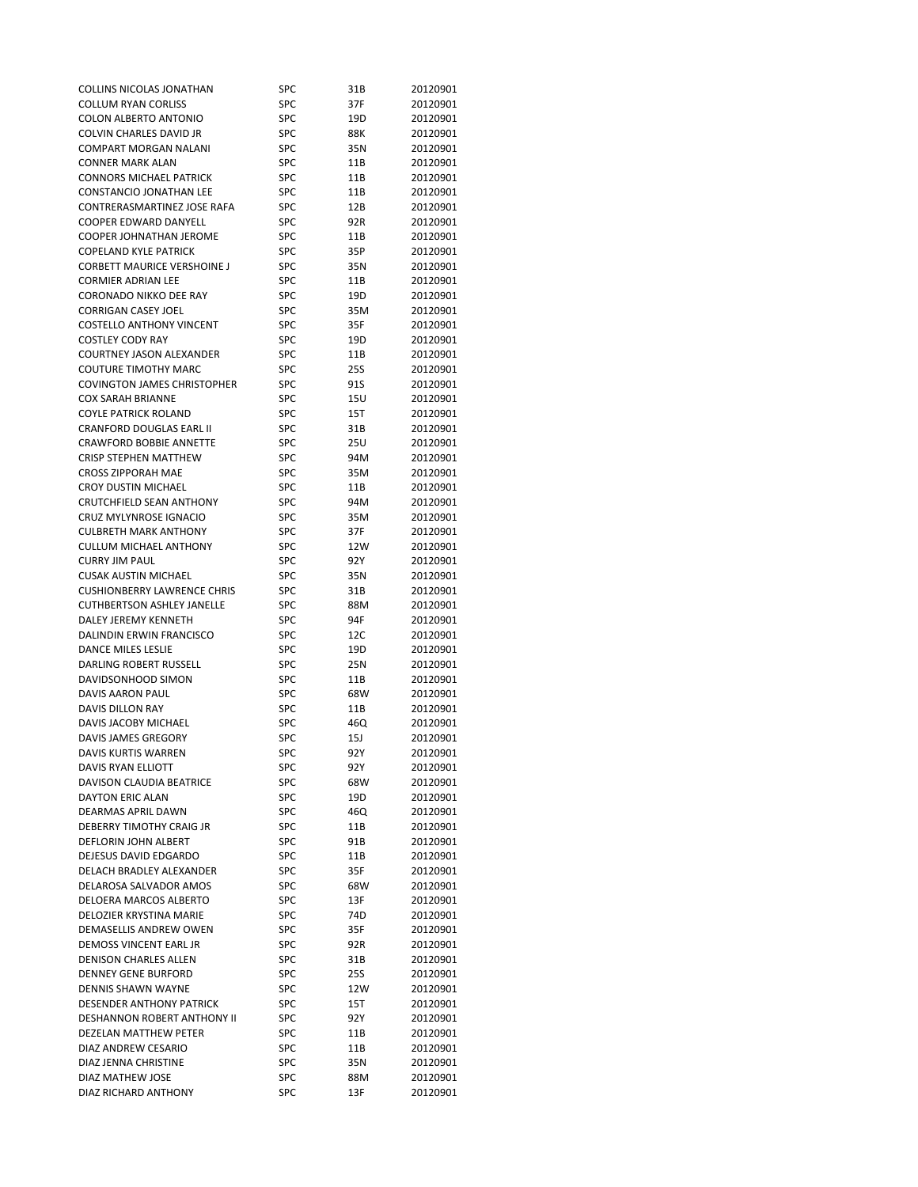| COLLINS NICOLAS JONATHAN           | SPC        | 31B  | 20120901 |
|------------------------------------|------------|------|----------|
| <b>COLLUM RYAN CORLISS</b>         | <b>SPC</b> | 37F  | 20120901 |
| COLON ALBERTO ANTONIO              | <b>SPC</b> | 19D  | 20120901 |
| COLVIN CHARLES DAVID JR            | SPC        | 88K  | 20120901 |
| COMPART MORGAN NALANI              | SPC        | 35N  | 20120901 |
| <b>CONNER MARK ALAN</b>            | <b>SPC</b> | 11B  | 20120901 |
| <b>CONNORS MICHAEL PATRICK</b>     | <b>SPC</b> | 11B  | 20120901 |
| <b>CONSTANCIO JONATHAN LEE</b>     | <b>SPC</b> | 11B  | 20120901 |
| CONTRERASMARTINEZ JOSE RAFA        | SPC        | 12B  | 20120901 |
| COOPER EDWARD DANYELL              | <b>SPC</b> | 92R  | 20120901 |
| COOPER JOHNATHAN JEROME            | <b>SPC</b> | 11B  | 20120901 |
| <b>COPELAND KYLE PATRICK</b>       | SPC        | 35P  | 20120901 |
| CORBETT MAURICE VERSHOINE J        | <b>SPC</b> | 35N  | 20120901 |
| <b>CORMIER ADRIAN LEE</b>          | <b>SPC</b> | 11B  | 20120901 |
| <b>CORONADO NIKKO DEE RAY</b>      | <b>SPC</b> | 19D  | 20120901 |
| <b>CORRIGAN CASEY JOEL</b>         | <b>SPC</b> | 35M  | 20120901 |
| <b>COSTELLO ANTHONY VINCENT</b>    | <b>SPC</b> | 35F  | 20120901 |
| <b>COSTLEY CODY RAY</b>            | SPC        | 19D  | 20120901 |
| <b>COURTNEY JASON ALEXANDER</b>    | <b>SPC</b> | 11B  | 20120901 |
| <b>COUTURE TIMOTHY MARC</b>        | SPC        |      |          |
| <b>COVINGTON JAMES CHRISTOPHER</b> |            | 25S  | 20120901 |
|                                    | <b>SPC</b> | 91S  | 20120901 |
| <b>COX SARAH BRIANNE</b>           | SPC        | 15U  | 20120901 |
| <b>COYLE PATRICK ROLAND</b>        | <b>SPC</b> | 15T  | 20120901 |
| <b>CRANFORD DOUGLAS EARL II</b>    | <b>SPC</b> | 31B  | 20120901 |
| <b>CRAWFORD BOBBIE ANNETTE</b>     | <b>SPC</b> | 25U  | 20120901 |
| <b>CRISP STEPHEN MATTHEW</b>       | <b>SPC</b> | 94M  | 20120901 |
| <b>CROSS ZIPPORAH MAE</b>          | SPC        | 35M  | 20120901 |
| <b>CROY DUSTIN MICHAEL</b>         | <b>SPC</b> | 11B  | 20120901 |
| <b>CRUTCHFIELD SEAN ANTHONY</b>    | <b>SPC</b> | 94M  | 20120901 |
| <b>CRUZ MYLYNROSE IGNACIO</b>      | <b>SPC</b> | 35M  | 20120901 |
| <b>CULBRETH MARK ANTHONY</b>       | <b>SPC</b> | 37F  | 20120901 |
| <b>CULLUM MICHAEL ANTHONY</b>      | SPC        | 12W  | 20120901 |
| <b>CURRY JIM PAUL</b>              | <b>SPC</b> | 92 Y | 20120901 |
| <b>CUSAK AUSTIN MICHAEL</b>        | SPC        | 35N  | 20120901 |
| <b>CUSHIONBERRY LAWRENCE CHRIS</b> | <b>SPC</b> | 31B  | 20120901 |
| <b>CUTHBERTSON ASHLEY JANELLE</b>  | <b>SPC</b> | 88M  | 20120901 |
| DALEY JEREMY KENNETH               | SPC        | 94F  | 20120901 |
| DALINDIN ERWIN FRANCISCO           | SPC        | 12C  | 20120901 |
| DANCE MILES LESLIE                 | <b>SPC</b> | 19D  | 20120901 |
| DARLING ROBERT RUSSELL             | SPC        | 25N  | 20120901 |
| DAVIDSONHOOD SIMON                 | SPC        | 11B  | 20120901 |
| DAVIS AARON PAUL                   | SPC        | 68W  | 20120901 |
| <b>DAVIS DILLON RAY</b>            | <b>SPC</b> | 11B  | 20120901 |
| DAVIS JACOBY MICHAEL               | SPC        | 46Q  | 20120901 |
| DAVIS JAMES GREGORY                | SPC        | 15J  | 20120901 |
| DAVIS KURTIS WARREN                | SPC        | 92 Y | 20120901 |
| <b>DAVIS RYAN ELLIOTT</b>          | SPC        | 92 Y | 20120901 |
| DAVISON CLAUDIA BEATRICE           | SPC        | 68W  | 20120901 |
| <b>DAYTON ERIC ALAN</b>            | SPC        | 19D  | 20120901 |
| <b>DEARMAS APRIL DAWN</b>          | SPC        | 46Q  | 20120901 |
| DEBERRY TIMOTHY CRAIG JR           | SPC        | 11B  | 20120901 |
| DEFLORIN JOHN ALBERT               | SPC        | 91B  | 20120901 |
| DEJESUS DAVID EDGARDO              | SPC        | 11B  | 20120901 |
| DELACH BRADLEY ALEXANDER           | SPC        | 35F  | 20120901 |
| DELAROSA SALVADOR AMOS             | SPC        | 68W  | 20120901 |
| DELOERA MARCOS ALBERTO             | SPC        | 13F  | 20120901 |
| <b>DELOZIER KRYSTINA MARIE</b>     | SPC        | 74D  | 20120901 |
| DEMASELLIS ANDREW OWEN             | SPC        |      | 20120901 |
| DEMOSS VINCENT EARL JR             |            | 35F  | 20120901 |
|                                    | SPC        | 92R  |          |
| DENISON CHARLES ALLEN              | SPC        | 31B  | 20120901 |
| <b>DENNEY GENE BURFORD</b>         | SPC        | 25S  | 20120901 |
| DENNIS SHAWN WAYNE                 | SPC        | 12W  | 20120901 |
| <b>DESENDER ANTHONY PATRICK</b>    | SPC        | 15T  | 20120901 |
| <b>DESHANNON ROBERT ANTHONY II</b> | <b>SPC</b> | 92 Y | 20120901 |
| DEZELAN MATTHEW PETER              | SPC        | 11B  | 20120901 |
| DIAZ ANDREW CESARIO                | SPC        | 11B  | 20120901 |
| DIAZ JENNA CHRISTINE               | SPC        | 35N  | 20120901 |
| DIAZ MATHEW JOSE                   | SPC        | 88M  | 20120901 |
| DIAZ RICHARD ANTHONY               | SPC        | 13F  | 20120901 |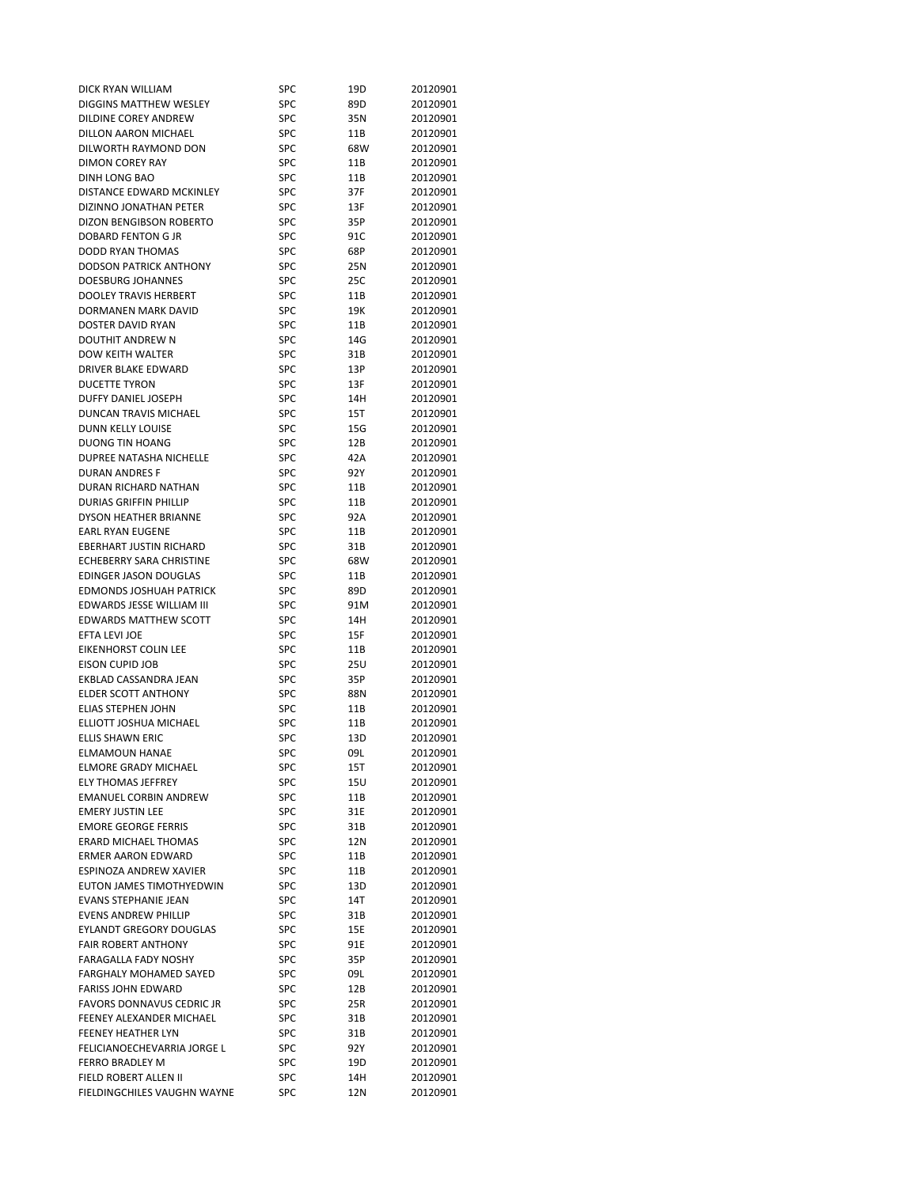| DICK RYAN WILLIAM                | SPC        | 19D  | 20120901 |
|----------------------------------|------------|------|----------|
| DIGGINS MATTHEW WESLEY           | <b>SPC</b> | 89D  | 20120901 |
| DILDINE COREY ANDREW             | SPC        | 35N  | 20120901 |
| DILLON AARON MICHAEL             | SPC        | 11B  | 20120901 |
| DILWORTH RAYMOND DON             | SPC        | 68W  | 20120901 |
| <b>DIMON COREY RAY</b>           | SPC        | 11B  | 20120901 |
| DINH LONG BAO                    | SPC        | 11B  | 20120901 |
| DISTANCE EDWARD MCKINLEY         | SPC        | 37F  | 20120901 |
| DIZINNO JONATHAN PETER           | SPC        | 13F  | 20120901 |
| DIZON BENGIBSON ROBERTO          | SPC        | 35P  | 20120901 |
| <b>DOBARD FENTON G JR</b>        | <b>SPC</b> | 91C  | 20120901 |
| DODD RYAN THOMAS                 | SPC        | 68P  | 20120901 |
| <b>DODSON PATRICK ANTHONY</b>    | <b>SPC</b> |      |          |
|                                  |            | 25N  | 20120901 |
| <b>DOESBURG JOHANNES</b>         | <b>SPC</b> | 25C  | 20120901 |
| <b>DOOLEY TRAVIS HERBERT</b>     | SPC        | 11B  | 20120901 |
| DORMANEN MARK DAVID              | SPC        | 19K  | 20120901 |
| DOSTER DAVID RYAN                | <b>SPC</b> | 11B  | 20120901 |
| DOUTHIT ANDREW N                 | SPC        | 14G  | 20120901 |
| DOW KEITH WALTER                 | SPC        | 31B  | 20120901 |
| DRIVER BLAKE EDWARD              | <b>SPC</b> | 13P  | 20120901 |
| <b>DUCETTE TYRON</b>             | SPC        | 13F  | 20120901 |
| DUFFY DANIEL JOSEPH              | SPC        | 14H  | 20120901 |
| DUNCAN TRAVIS MICHAEL            | SPC        | 15T  | 20120901 |
| <b>DUNN KELLY LOUISE</b>         | SPC        | 15G  | 20120901 |
| <b>DUONG TIN HOANG</b>           | <b>SPC</b> | 12B  | 20120901 |
| DUPREE NATASHA NICHELLE          | SPC        | 42A  | 20120901 |
| <b>DURAN ANDRES F</b>            | SPC        | 92 Y | 20120901 |
| DURAN RICHARD NATHAN             | SPC        | 11B  | 20120901 |
| <b>DURIAS GRIFFIN PHILLIP</b>    | SPC        | 11B  | 20120901 |
| <b>DYSON HEATHER BRIANNE</b>     | SPC        | 92A  | 20120901 |
| <b>EARL RYAN EUGENE</b>          | <b>SPC</b> | 11B  | 20120901 |
| <b>EBERHART JUSTIN RICHARD</b>   | <b>SPC</b> | 31B  | 20120901 |
| <b>ECHEBERRY SARA CHRISTINE</b>  | SPC        | 68W  | 20120901 |
| EDINGER JASON DOUGLAS            | <b>SPC</b> | 11B  | 20120901 |
| <b>EDMONDS JOSHUAH PATRICK</b>   | SPC        | 89D  | 20120901 |
| EDWARDS JESSE WILLIAM III        |            |      |          |
|                                  | <b>SPC</b> | 91M  | 20120901 |
| <b>EDWARDS MATTHEW SCOTT</b>     | SPC        | 14H  | 20120901 |
| EFTA LEVI JOE                    | SPC        | 15F  | 20120901 |
| <b>EIKENHORST COLIN LEE</b>      | <b>SPC</b> | 11B  | 20120901 |
| EISON CUPID JOB                  | SPC        | 25U  | 20120901 |
| EKBLAD CASSANDRA JEAN            | <b>SPC</b> | 35P  | 20120901 |
| <b>ELDER SCOTT ANTHONY</b>       | <b>SPC</b> | 88N  | 20120901 |
| <b>ELIAS STEPHEN JOHN</b>        | <b>SPC</b> | 11B  | 20120901 |
| ELLIOTT JOSHUA MICHAEL           | SPC        | 11B  | 20120901 |
| ELLIS SHAWN ERIC                 | SPC        | 13D  | 20120901 |
| <b>ELMAMOUN HANAE</b>            | SPC        | 09L  | 20120901 |
| <b>ELMORE GRADY MICHAEL</b>      | SPC        | 15T  | 20120901 |
| <b>ELY THOMAS JEFFREY</b>        | SPC        | 15U  | 20120901 |
| <b>EMANUEL CORBIN ANDREW</b>     | SPC        | 11B  | 20120901 |
| <b>EMERY JUSTIN LEE</b>          | SPC        | 31E  | 20120901 |
| <b>EMORE GEORGE FERRIS</b>       | SPC        | 31B  | 20120901 |
| <b>ERARD MICHAEL THOMAS</b>      | SPC        | 12N  | 20120901 |
| <b>ERMER AARON EDWARD</b>        | SPC        | 11B  | 20120901 |
| ESPINOZA ANDREW XAVIER           | SPC        | 11B  | 20120901 |
| EUTON JAMES TIMOTHYEDWIN         | SPC        | 13D  | 20120901 |
| <b>EVANS STEPHANIE JEAN</b>      | SPC        | 14T  | 20120901 |
| <b>EVENS ANDREW PHILLIP</b>      | <b>SPC</b> | 31B  | 20120901 |
| <b>EYLANDT GREGORY DOUGLAS</b>   | SPC        | 15E  | 20120901 |
| <b>FAIR ROBERT ANTHONY</b>       |            |      |          |
|                                  | SPC        | 91E  | 20120901 |
| FARAGALLA FADY NOSHY             | SPC        | 35P  | 20120901 |
| FARGHALY MOHAMED SAYED           | SPC        | 09L  | 20120901 |
| <b>FARISS JOHN EDWARD</b>        | SPC        | 12B  | 20120901 |
| <b>FAVORS DONNAVUS CEDRIC JR</b> | SPC        | 25R  | 20120901 |
| FEENEY ALEXANDER MICHAEL         | SPC        | 31B  | 20120901 |
| FEENEY HEATHER LYN               | SPC        | 31B  | 20120901 |
| FELICIANOECHEVARRIA JORGE L      | SPC        | 92Y  | 20120901 |
| FERRO BRADLEY M                  | SPC        | 19D  | 20120901 |
| FIELD ROBERT ALLEN II            | SPC        | 14H  | 20120901 |
| FIELDINGCHILES VAUGHN WAYNE      | SPC        | 12N  | 20120901 |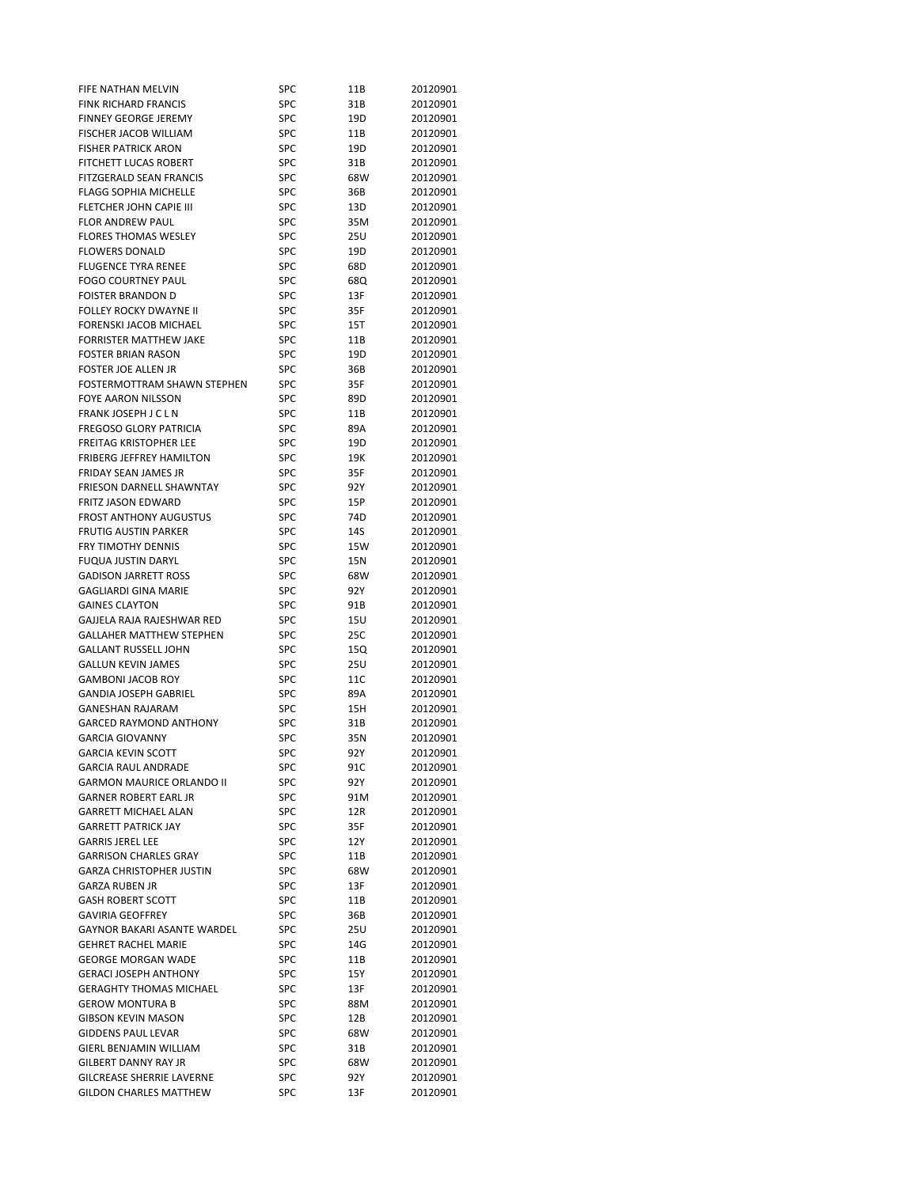| FIFE NATHAN MELVIN                                  | SPC               | 11B        | 20120901             |
|-----------------------------------------------------|-------------------|------------|----------------------|
| <b>FINK RICHARD FRANCIS</b>                         | <b>SPC</b>        | 31B        | 20120901             |
| <b>FINNEY GEORGE JEREMY</b>                         | SPC               | 19D        | 20120901             |
| FISCHER JACOB WILLIAM                               | <b>SPC</b>        | 11B        | 20120901             |
| <b>FISHER PATRICK ARON</b>                          | SPC               | 19D        | 20120901             |
| <b>FITCHETT LUCAS ROBERT</b>                        | <b>SPC</b>        | 31B        | 20120901             |
| <b>FITZGERALD SEAN FRANCIS</b>                      | <b>SPC</b>        | 68W        | 20120901             |
| <b>FLAGG SOPHIA MICHELLE</b>                        | <b>SPC</b>        | 36B        | 20120901             |
| FLETCHER JOHN CAPIE III                             | <b>SPC</b>        | 13D        | 20120901             |
| <b>FLOR ANDREW PAUL</b>                             | SPC               | 35M        | 20120901             |
| <b>FLORES THOMAS WESLEY</b>                         | SPC               | 25U        | 20120901             |
| <b>FLOWERS DONALD</b>                               | SPC               | 19D        | 20120901             |
| <b>FLUGENCE TYRA RENEE</b>                          | <b>SPC</b>        | 68D        | 20120901             |
| <b>FOGO COURTNEY PAUL</b>                           | SPC               | 68Q        | 20120901             |
| <b>FOISTER BRANDON D</b>                            | <b>SPC</b>        | 13F        | 20120901             |
| FOLLEY ROCKY DWAYNE II                              | <b>SPC</b>        | 35F        | 20120901             |
| FORENSKI JACOB MICHAEL                              | SPC               | 15T        | 20120901             |
| <b>FORRISTER MATTHEW JAKE</b>                       | <b>SPC</b>        | 11B        | 20120901             |
| <b>FOSTER BRIAN RASON</b>                           | SPC               | 19D        | 20120901             |
| FOSTER JOE ALLEN JR                                 | SPC               | 36B        | 20120901             |
| FOSTERMOTTRAM SHAWN STEPHEN                         | SPC               | 35F        | 20120901             |
| <b>FOYE AARON NILSSON</b>                           | SPC               | 89D        | 20120901             |
| FRANK JOSEPH J C L N                                | SPC               | 11B        | 20120901             |
| <b>FREGOSO GLORY PATRICIA</b>                       | SPC               | 89A        | 20120901             |
| FREITAG KRISTOPHER LEE                              | SPC               | 19D        | 20120901             |
| <b>FRIBERG JEFFREY HAMILTON</b>                     | SPC               | 19K        | 20120901             |
| FRIDAY SEAN JAMES JR                                | <b>SPC</b>        | 35F        | 20120901             |
| FRIESON DARNELL SHAWNTAY                            | SPC               | 92Y        | 20120901             |
| FRITZ JASON EDWARD<br><b>FROST ANTHONY AUGUSTUS</b> | SPC<br>SPC        | 15P<br>74D | 20120901<br>20120901 |
| <b>FRUTIG AUSTIN PARKER</b>                         | SPC               | 14S        | 20120901             |
| <b>FRY TIMOTHY DENNIS</b>                           | SPC               | 15W        | 20120901             |
| <b>FUQUA JUSTIN DARYL</b>                           | SPC               | 15N        | 20120901             |
| <b>GADISON JARRETT ROSS</b>                         | SPC               | 68W        | 20120901             |
| <b>GAGLIARDI GINA MARIE</b>                         | SPC               | 92Y        | 20120901             |
| <b>GAINES CLAYTON</b>                               | <b>SPC</b>        | 91B        | 20120901             |
| GAJJELA RAJA RAJESHWAR RED                          | SPC               | 15U        | 20120901             |
| <b>GALLAHER MATTHEW STEPHEN</b>                     | SPC               | 25C        | 20120901             |
| <b>GALLANT RUSSELL JOHN</b>                         | SPC               | 15Q        | 20120901             |
| <b>GALLUN KEVIN JAMES</b>                           | SPC               | 25U        | 20120901             |
| <b>GAMBONI JACOB ROY</b>                            | SPC               | 11C        | 20120901             |
| <b>GANDIA JOSEPH GABRIEL</b>                        | SPC               | 89A        | 20120901             |
| <b>GANESHAN RAJARAM</b>                             | <b>SPC</b>        | 15H        | 20120901             |
| <b>GARCED RAYMOND ANTHONY</b>                       | SPC               | 31B        | 20120901             |
| <b>GARCIA GIOVANNY</b>                              | <b>SPC</b>        | 35N        | 20120901             |
| <b>GARCIA KEVIN SCOTT</b>                           | SPC               | 92Y        | 20120901             |
| <b>GARCIA RAUL ANDRADE</b>                          | <b>SPC</b>        | 91C        | 20120901             |
| <b>GARMON MAURICE ORLANDO II</b>                    | SPC               | 92 Y       | 20120901             |
| <b>GARNER ROBERT EARL JR</b>                        | SPC               | 91M        | 20120901             |
| <b>GARRETT MICHAEL ALAN</b>                         | SPC               | 12R        | 20120901             |
| <b>GARRETT PATRICK JAY</b>                          | <b>SPC</b>        | 35F        | 20120901             |
| <b>GARRIS JEREL LEE</b>                             | SPC               | 12 Y       | 20120901             |
| <b>GARRISON CHARLES GRAY</b>                        | <b>SPC</b>        | 11B        | 20120901             |
| <b>GARZA CHRISTOPHER JUSTIN</b>                     | SPC               | 68W        | 20120901             |
| <b>GARZA RUBEN JR</b><br><b>GASH ROBERT SCOTT</b>   | SPC               | 13F        | 20120901             |
| <b>GAVIRIA GEOFFREY</b>                             | SPC<br><b>SPC</b> | 11B        | 20120901<br>20120901 |
| <b>GAYNOR BAKARI ASANTE WARDEL</b>                  | SPC               | 36B<br>25U | 20120901             |
| <b>GEHRET RACHEL MARIE</b>                          | SPC               | 14G        | 20120901             |
| <b>GEORGE MORGAN WADE</b>                           | <b>SPC</b>        | 11B        | 20120901             |
| <b>GERACI JOSEPH ANTHONY</b>                        | <b>SPC</b>        | 15Y        | 20120901             |
| <b>GERAGHTY THOMAS MICHAEL</b>                      | SPC               | 13F        | 20120901             |
| <b>GEROW MONTURA B</b>                              | SPC               | 88M        | 20120901             |
| <b>GIBSON KEVIN MASON</b>                           | SPC               | 12B        | 20120901             |
| <b>GIDDENS PAUL LEVAR</b>                           | SPC               | 68W        | 20120901             |
| GIERL BENJAMIN WILLIAM                              | SPC               | 31B        | 20120901             |
| <b>GILBERT DANNY RAY JR</b>                         | SPC               | 68W        | 20120901             |
| <b>GILCREASE SHERRIE LAVERNE</b>                    | SPC               | 92 Y       | 20120901             |
| <b>GILDON CHARLES MATTHEW</b>                       | SPC               | 13F        | 20120901             |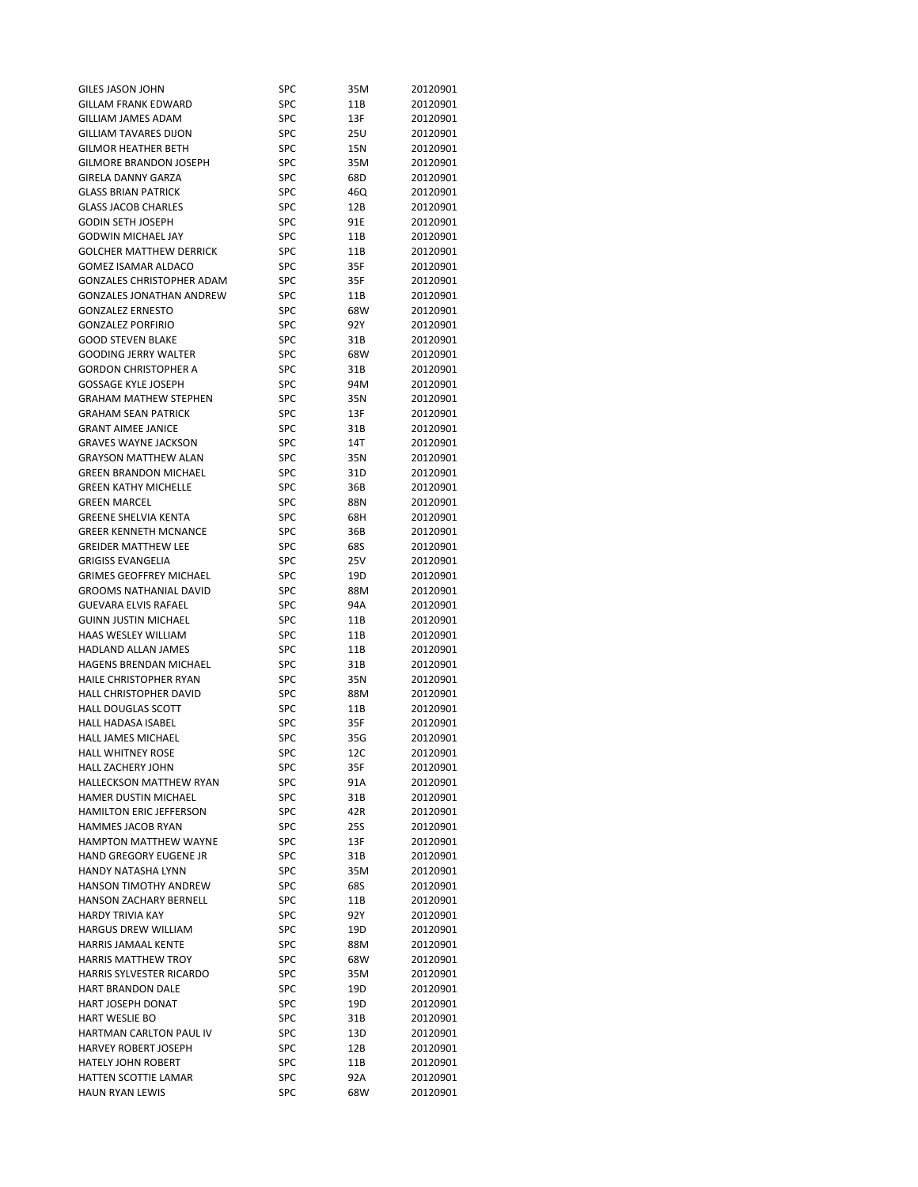| GILES JASON JOHN                                | SPC        | 35M  | 20120901 |
|-------------------------------------------------|------------|------|----------|
| <b>GILLAM FRANK EDWARD</b>                      | <b>SPC</b> | 11B  | 20120901 |
| GILLIAM JAMES ADAM                              | SPC        | 13F  | 20120901 |
| <b>GILLIAM TAVARES DIJON</b>                    | <b>SPC</b> | 25U  | 20120901 |
| <b>GILMOR HEATHER BETH</b>                      | SPC        | 15N  | 20120901 |
| <b>GILMORE BRANDON JOSEPH</b>                   | <b>SPC</b> | 35M  | 20120901 |
| <b>GIRELA DANNY GARZA</b>                       | <b>SPC</b> | 68D  | 20120901 |
| <b>GLASS BRIAN PATRICK</b>                      | <b>SPC</b> | 46Q  | 20120901 |
| <b>GLASS JACOB CHARLES</b>                      | SPC        | 12B  | 20120901 |
| <b>GODIN SETH JOSEPH</b>                        | SPC        | 91E  | 20120901 |
| <b>GODWIN MICHAEL JAY</b>                       | <b>SPC</b> | 11B  | 20120901 |
| <b>GOLCHER MATTHEW DERRICK</b>                  | <b>SPC</b> | 11B  | 20120901 |
| <b>GOMEZ ISAMAR ALDACO</b>                      | SPC        | 35F  | 20120901 |
| <b>GONZALES CHRISTOPHER ADAM</b>                | <b>SPC</b> | 35F  | 20120901 |
| <b>GONZALES JONATHAN ANDREW</b>                 | <b>SPC</b> | 11B  | 20120901 |
| <b>GONZALEZ ERNESTO</b>                         | <b>SPC</b> |      | 20120901 |
|                                                 |            | 68W  |          |
| <b>GONZALEZ PORFIRIO</b>                        | SPC        | 92 Y | 20120901 |
| <b>GOOD STEVEN BLAKE</b>                        | <b>SPC</b> | 31B  | 20120901 |
| <b>GOODING JERRY WALTER</b>                     | SPC        | 68W  | 20120901 |
| <b>GORDON CHRISTOPHER A</b>                     | SPC        | 31B  | 20120901 |
| <b>GOSSAGE KYLE JOSEPH</b>                      | SPC        | 94M  | 20120901 |
| <b>GRAHAM MATHEW STEPHEN</b>                    | SPC        | 35N  | 20120901 |
| <b>GRAHAM SEAN PATRICK</b>                      | SPC        | 13F  | 20120901 |
| <b>GRANT AIMEE JANICE</b>                       | <b>SPC</b> | 31B  | 20120901 |
| <b>GRAVES WAYNE JACKSON</b>                     | SPC        | 14T  | 20120901 |
| <b>GRAYSON MATTHEW ALAN</b>                     | SPC        | 35N  | 20120901 |
| <b>GREEN BRANDON MICHAEL</b>                    | SPC        | 31D  | 20120901 |
| <b>GREEN KATHY MICHELLE</b>                     | <b>SPC</b> | 36B  | 20120901 |
| <b>GREEN MARCEL</b>                             | SPC        | 88N  | 20120901 |
| <b>GREENE SHELVIA KENTA</b>                     | <b>SPC</b> | 68H  | 20120901 |
| <b>GREER KENNETH MCNANCE</b>                    | <b>SPC</b> | 36B  | 20120901 |
| <b>GREIDER MATTHEW LEE</b>                      | <b>SPC</b> | 68S  | 20120901 |
| <b>GRIGISS EVANGELIA</b>                        | <b>SPC</b> | 25V  | 20120901 |
| <b>GRIMES GEOFFREY MICHAEL</b>                  | SPC        | 19D  | 20120901 |
| <b>GROOMS NATHANIAL DAVID</b>                   | <b>SPC</b> | 88M  | 20120901 |
| <b>GUEVARA ELVIS RAFAEL</b>                     | SPC        | 94A  | 20120901 |
| <b>GUINN JUSTIN MICHAEL</b>                     | SPC        | 11B  | 20120901 |
| HAAS WESLEY WILLIAM                             | SPC        | 11B  | 20120901 |
| <b>HADLAND ALLAN JAMES</b>                      | <b>SPC</b> | 11B  | 20120901 |
| HAGENS BRENDAN MICHAEL                          | SPC        | 31B  | 20120901 |
| <b>HAILE CHRISTOPHER RYAN</b>                   | SPC        | 35N  | 20120901 |
| HALL CHRISTOPHER DAVID                          | SPC        | 88M  | 20120901 |
| <b>HALL DOUGLAS SCOTT</b>                       | <b>SPC</b> | 11B  | 20120901 |
| HALL HADASA ISABEL                              | SPC        | 35F  | 20120901 |
| <b>HALL JAMES MICHAEL</b>                       | SPC        | 35G  | 20120901 |
| <b>HALL WHITNEY ROSE</b>                        | <b>SPC</b> | 12C  | 20120901 |
| HALL ZACHERY JOHN                               | SPC        | 35F  | 20120901 |
| <b>HALLECKSON MATTHEW RYAN</b>                  | SPC        | 91A  | 20120901 |
| HAMER DUSTIN MICHAEL                            | SPC        | 31B  | 20120901 |
| HAMILTON ERIC JEFFERSON                         | SPC        | 42R  | 20120901 |
| HAMMES JACOB RYAN                               | SPC        |      |          |
|                                                 |            | 25S  | 20120901 |
| HAMPTON MATTHEW WAYNE<br>HAND GREGORY EUGENE JR | SPC        | 13F  | 20120901 |
| HANDY NATASHA LYNN                              | SPC        | 31B  | 20120901 |
|                                                 | SPC        | 35M  | 20120901 |
| <b>HANSON TIMOTHY ANDREW</b>                    | SPC        | 68S  | 20120901 |
| HANSON ZACHARY BERNELL                          | SPC        | 11B  | 20120901 |
| <b>HARDY TRIVIA KAY</b>                         | SPC        | 92Y  | 20120901 |
| HARGUS DREW WILLIAM                             | SPC        | 19D  | 20120901 |
| HARRIS JAMAAL KENTE                             | SPC        | 88M  | 20120901 |
| <b>HARRIS MATTHEW TROY</b>                      | SPC        | 68W  | 20120901 |
| HARRIS SYLVESTER RICARDO                        | SPC        | 35M  | 20120901 |
| <b>HART BRANDON DALE</b>                        | SPC        | 19D  | 20120901 |
| HART JOSEPH DONAT                               | SPC        | 19D  | 20120901 |
| HART WESLIE BO                                  | SPC        | 31B  | 20120901 |
| HARTMAN CARLTON PAUL IV                         | SPC        | 13D  | 20120901 |
| <b>HARVEY ROBERT JOSEPH</b>                     | SPC        | 12B  | 20120901 |
| HATELY JOHN ROBERT                              | SPC        | 11B  | 20120901 |
| HATTEN SCOTTIE LAMAR                            | SPC        | 92A  | 20120901 |
| HAUN RYAN LEWIS                                 | SPC        | 68W  | 20120901 |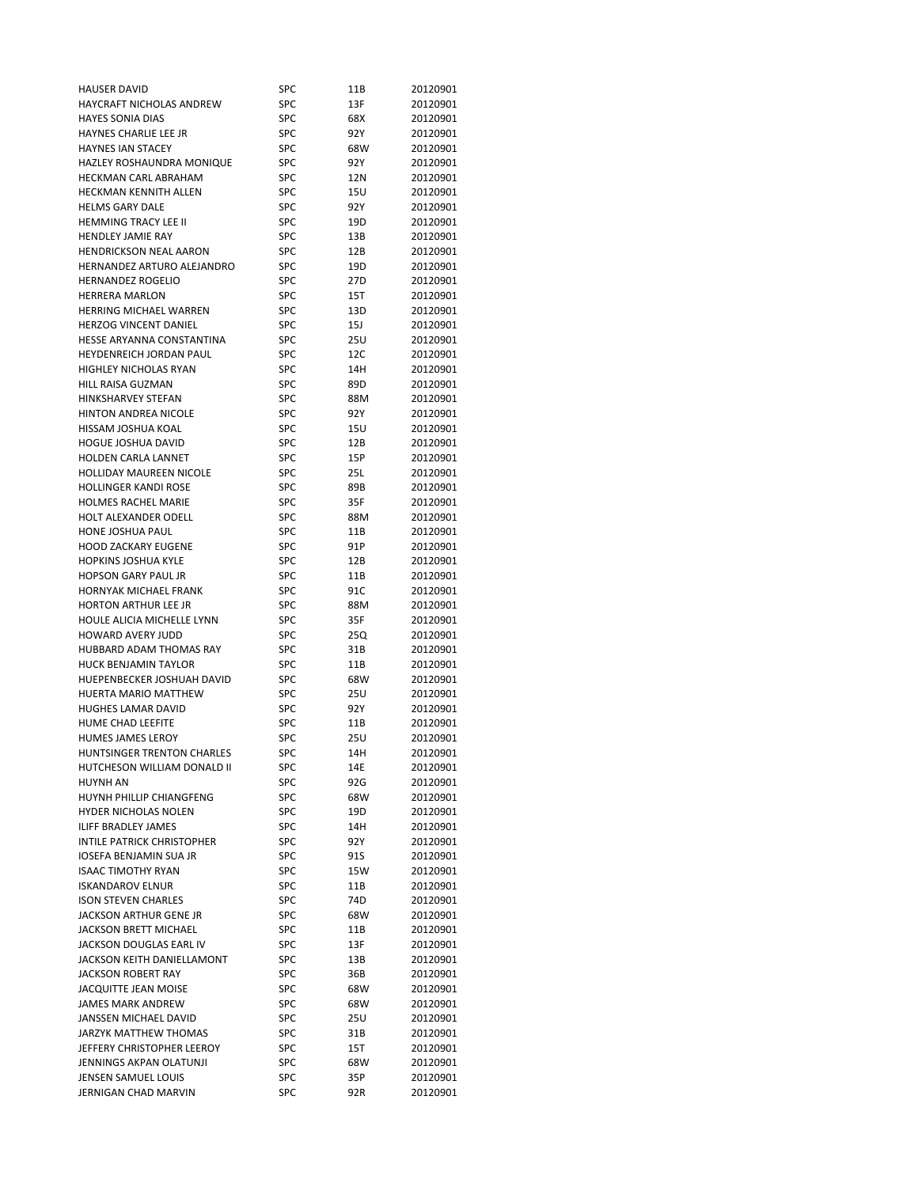| <b>HAUSER DAVID</b>               | SPC        | 11B  | 20120901 |
|-----------------------------------|------------|------|----------|
| HAYCRAFT NICHOLAS ANDREW          | SPC        | 13F  | 20120901 |
| <b>HAYES SONIA DIAS</b>           | <b>SPC</b> | 68X  | 20120901 |
| <b>HAYNES CHARLIE LEE JR</b>      | SPC        | 92Y  | 20120901 |
| <b>HAYNES IAN STACEY</b>          | SPC        | 68W  | 20120901 |
| HAZLEY ROSHAUNDRA MONIQUE         | <b>SPC</b> | 92 Y | 20120901 |
| <b>HECKMAN CARL ABRAHAM</b>       | <b>SPC</b> | 12N  | 20120901 |
| HECKMAN KENNITH ALLEN             | <b>SPC</b> | 15U  | 20120901 |
| <b>HELMS GARY DALE</b>            | <b>SPC</b> | 92 Y | 20120901 |
| HEMMING TRACY LEE II              | SPC        | 19D  | 20120901 |
| <b>HENDLEY JAMIE RAY</b>          | SPC        | 13B  | 20120901 |
| <b>HENDRICKSON NEAL AARON</b>     | SPC        | 12B  | 20120901 |
| HERNANDEZ ARTURO ALEJANDRO        | <b>SPC</b> | 19D  | 20120901 |
| <b>HERNANDEZ ROGELIO</b>          | <b>SPC</b> | 27D  | 20120901 |
| <b>HERRERA MARLON</b>             | SPC        | 15T  | 20120901 |
| <b>HERRING MICHAEL WARREN</b>     | SPC        | 13D  | 20120901 |
| <b>HERZOG VINCENT DANIEL</b>      | <b>SPC</b> |      |          |
|                                   |            | 15J  | 20120901 |
| HESSE ARYANNA CONSTANTINA         | SPC        | 25U  | 20120901 |
| HEYDENREICH JORDAN PAUL           | <b>SPC</b> | 12C  | 20120901 |
| HIGHLEY NICHOLAS RYAN             | <b>SPC</b> | 14H  | 20120901 |
| HILL RAISA GUZMAN                 | <b>SPC</b> | 89D  | 20120901 |
| <b>HINKSHARVEY STEFAN</b>         | <b>SPC</b> | 88M  | 20120901 |
| HINTON ANDREA NICOLE              | <b>SPC</b> | 92 Y | 20120901 |
| HISSAM JOSHUA KOAL                | <b>SPC</b> | 15U  | 20120901 |
| <b>HOGUE JOSHUA DAVID</b>         | <b>SPC</b> | 12B  | 20120901 |
| HOLDEN CARLA LANNET               | <b>SPC</b> | 15P  | 20120901 |
| <b>HOLLIDAY MAUREEN NICOLE</b>    | SPC        | 25L  | 20120901 |
| <b>HOLLINGER KANDI ROSE</b>       | <b>SPC</b> | 89B  | 20120901 |
| <b>HOLMES RACHEL MARIE</b>        | <b>SPC</b> | 35F  | 20120901 |
| HOLT ALEXANDER ODELL              | SPC        | 88M  | 20120901 |
| HONE JOSHUA PAUL                  | <b>SPC</b> | 11B  | 20120901 |
| <b>HOOD ZACKARY EUGENE</b>        | SPC        | 91P  | 20120901 |
| <b>HOPKINS JOSHUA KYLE</b>        | <b>SPC</b> | 12B  | 20120901 |
| <b>HOPSON GARY PAUL JR</b>        | <b>SPC</b> | 11B  | 20120901 |
| HORNYAK MICHAEL FRANK             | <b>SPC</b> | 91C  | 20120901 |
| <b>HORTON ARTHUR LEE JR</b>       | SPC        | 88M  | 20120901 |
| HOULE ALICIA MICHELLE LYNN        | SPC        | 35F  | 20120901 |
| <b>HOWARD AVERY JUDD</b>          | <b>SPC</b> | 25Q  | 20120901 |
| HUBBARD ADAM THOMAS RAY           | SPC        | 31B  | 20120901 |
| <b>HUCK BENJAMIN TAYLOR</b>       | SPC        | 11B  | 20120901 |
| HUEPENBECKER JOSHUAH DAVID        | <b>SPC</b> | 68W  | 20120901 |
| HUERTA MARIO MATTHEW              | <b>SPC</b> | 25U  | 20120901 |
| <b>HUGHES LAMAR DAVID</b>         | SPC        | 92 Y | 20120901 |
| <b>HUME CHAD LEEFITE</b>          | <b>SPC</b> | 11B  | 20120901 |
| <b>HUMES JAMES LEROY</b>          | SPC        | 25U  | 20120901 |
| HUNTSINGER TRENTON CHARLES        | SPC        | 14H  | 20120901 |
| HUTCHESON WILLIAM DONALD II       | <b>SPC</b> | 14E  | 20120901 |
| HUYNH AN                          | SPC        | 92G  | 20120901 |
| HUYNH PHILLIP CHIANGFENG          | SPC        | 68W  | 20120901 |
| <b>HYDER NICHOLAS NOLEN</b>       | SPC        | 19D  | 20120901 |
| <b>ILIFF BRADLEY JAMES</b>        | SPC        | 14H  | 20120901 |
| <b>INTILE PATRICK CHRISTOPHER</b> | SPC        | 92Y  | 20120901 |
| <b>IOSEFA BENJAMIN SUA JR</b>     | SPC        | 91S  | 20120901 |
| <b>ISAAC TIMOTHY RYAN</b>         | SPC        | 15W  | 20120901 |
| <b>ISKANDAROV ELNUR</b>           | SPC        | 11B  | 20120901 |
| <b>ISON STEVEN CHARLES</b>        | SPC        | 74D  | 20120901 |
| JACKSON ARTHUR GENE JR            | SPC        | 68W  | 20120901 |
| <b>JACKSON BRETT MICHAEL</b>      | SPC        | 11B  | 20120901 |
| JACKSON DOUGLAS EARL IV           | SPC        |      | 20120901 |
| JACKSON KEITH DANIELLAMONT        | <b>SPC</b> | 13F  |          |
|                                   |            | 13B  | 20120901 |
| <b>JACKSON ROBERT RAY</b>         | SPC        | 36B  | 20120901 |
| JACQUITTE JEAN MOISE              | SPC        | 68W  | 20120901 |
| JAMES MARK ANDREW                 | SPC        | 68W  | 20120901 |
| JANSSEN MICHAEL DAVID             | SPC        | 25U  | 20120901 |
| JARZYK MATTHEW THOMAS             | SPC        | 31B  | 20120901 |
| JEFFERY CHRISTOPHER LEEROY        | SPC        | 15T  | 20120901 |
| JENNINGS AKPAN OLATUNJI           | SPC        | 68W  | 20120901 |
| JENSEN SAMUEL LOUIS               | SPC        | 35P  | 20120901 |
| JERNIGAN CHAD MARVIN              | SPC        | 92R  | 20120901 |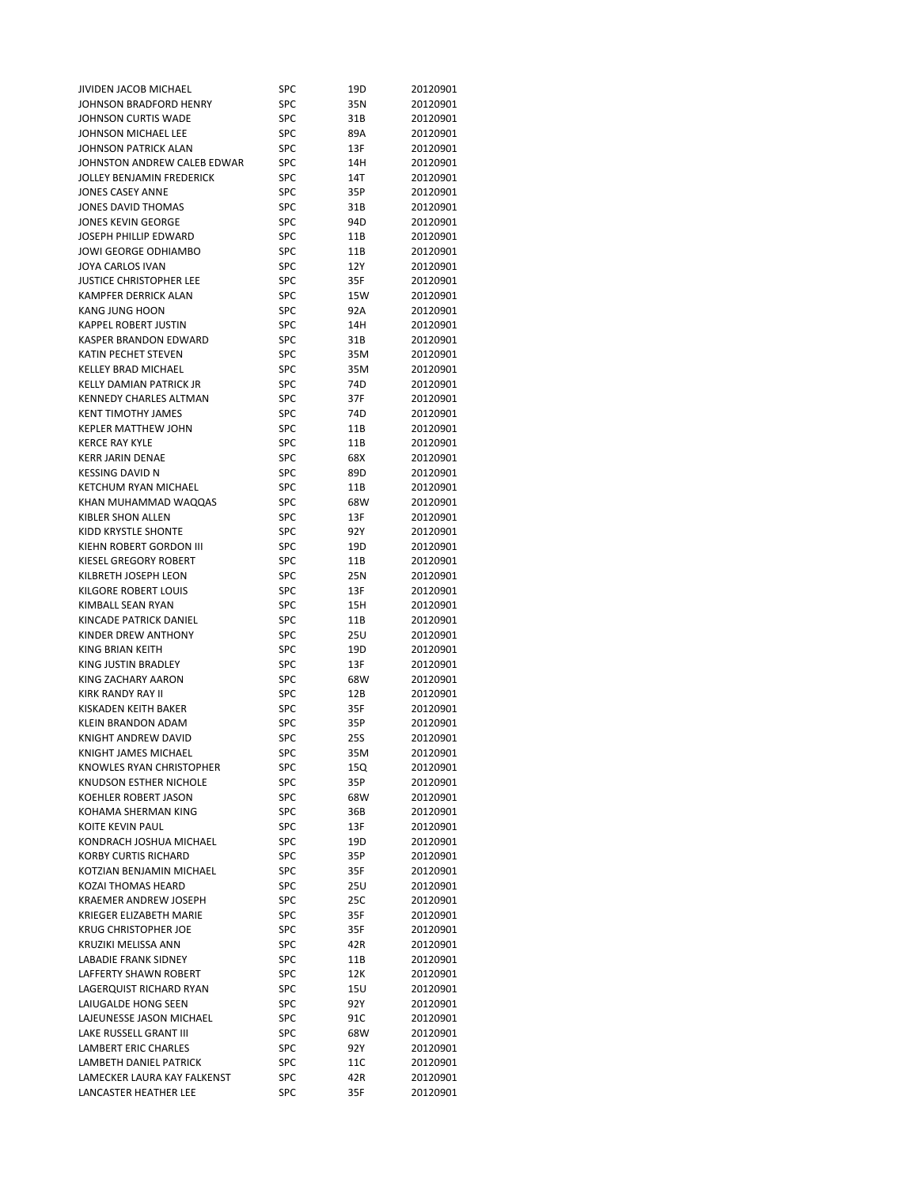| JIVIDEN JACOB MICHAEL                           | SPC        | 19D  | 20120901             |
|-------------------------------------------------|------------|------|----------------------|
| JOHNSON BRADFORD HENRY                          | <b>SPC</b> | 35N  | 20120901             |
| JOHNSON CURTIS WADE                             | SPC        | 31B  | 20120901             |
| JOHNSON MICHAEL LEE                             | SPC        | 89A  | 20120901             |
| JOHNSON PATRICK ALAN                            | SPC        | 13F  | 20120901             |
| JOHNSTON ANDREW CALEB EDWAR                     | <b>SPC</b> | 14H  | 20120901             |
| JOLLEY BENJAMIN FREDERICK                       | SPC        | 14T  | 20120901             |
| <b>JONES CASEY ANNE</b>                         | SPC        | 35P  | 20120901             |
| JONES DAVID THOMAS                              | SPC        | 31B  | 20120901             |
| <b>JONES KEVIN GEORGE</b>                       | SPC        | 94D  | 20120901             |
| JOSEPH PHILLIP EDWARD                           | <b>SPC</b> | 11B  | 20120901             |
| JOWI GEORGE ODHIAMBO                            | SPC        | 11B  | 20120901             |
| JOYA CARLOS IVAN                                | <b>SPC</b> | 12Y  | 20120901             |
| <b>JUSTICE CHRISTOPHER LEE</b>                  | <b>SPC</b> | 35F  | 20120901             |
| KAMPFER DERRICK ALAN                            | SPC        | 15W  | 20120901             |
| <b>KANG JUNG HOON</b>                           | SPC        | 92A  | 20120901             |
| <b>KAPPEL ROBERT JUSTIN</b>                     | <b>SPC</b> | 14H  | 20120901             |
| KASPER BRANDON EDWARD                           | SPC        | 31B  | 20120901             |
| KATIN PECHET STEVEN                             | SPC        | 35M  | 20120901             |
| KELLEY BRAD MICHAEL                             | <b>SPC</b> | 35M  | 20120901             |
| <b>KELLY DAMIAN PATRICK JR</b>                  | SPC        | 74D  | 20120901             |
| <b>KENNEDY CHARLES ALTMAN</b>                   |            |      | 20120901             |
|                                                 | SPC        | 37F  |                      |
| <b>KENT TIMOTHY JAMES</b>                       | SPC        | 74D  | 20120901             |
| <b>KEPLER MATTHEW JOHN</b>                      | SPC        | 11B  | 20120901             |
| <b>KERCE RAY KYLE</b>                           | <b>SPC</b> | 11B  | 20120901             |
| <b>KERR JARIN DENAE</b>                         | SPC        | 68X  | 20120901             |
| <b>KESSING DAVID N</b>                          | SPC        | 89D  | 20120901             |
| KETCHUM RYAN MICHAEL                            | SPC        | 11B  | 20120901             |
| KHAN MUHAMMAD WAQQAS                            | SPC        | 68W  | 20120901             |
| KIBLER SHON ALLEN                               | SPC        | 13F  | 20120901             |
| KIDD KRYSTLE SHONTE                             | <b>SPC</b> | 92 Y | 20120901             |
| KIEHN ROBERT GORDON III                         | <b>SPC</b> | 19D  | 20120901             |
| KIESEL GREGORY ROBERT                           | <b>SPC</b> | 11B  | 20120901             |
| KILBRETH JOSEPH LEON                            | <b>SPC</b> | 25N  | 20120901             |
| KILGORE ROBERT LOUIS                            | SPC        | 13F  | 20120901             |
| KIMBALL SEAN RYAN                               | <b>SPC</b> | 15H  | 20120901             |
| KINCADE PATRICK DANIEL                          | SPC        | 11B  | 20120901             |
| KINDER DREW ANTHONY                             | SPC        | 25U  | 20120901             |
| KING BRIAN KEITH                                | <b>SPC</b> | 19D  | 20120901             |
| KING JUSTIN BRADLEY                             | <b>SPC</b> | 13F  | 20120901             |
| KING ZACHARY AARON                              | <b>SPC</b> | 68W  | 20120901             |
| KIRK RANDY RAY II                               | <b>SPC</b> | 12B  | 20120901             |
| KISKADEN KEITH BAKER                            | <b>SPC</b> | 35F  | 20120901             |
| KLEIN BRANDON ADAM                              | SPC        | 35P  | 20120901             |
| KNIGHT ANDREW DAVID                             | SPC        | 25S  | 20120901             |
| KNIGHT JAMES MICHAEL                            | SPC        | 35M  | 20120901             |
| KNOWLES RYAN CHRISTOPHER                        | SPC        | 15Q  | 20120901             |
| KNUDSON ESTHER NICHOLE                          | SPC        | 35P  | 20120901             |
| KOEHLER ROBERT JASON                            | SPC        | 68W  | 20120901             |
| KOHAMA SHERMAN KING                             | SPC        | 36B  | 20120901             |
| <b>KOITE KEVIN PAUL</b>                         | SPC        | 13F  | 20120901             |
| KONDRACH JOSHUA MICHAEL                         | SPC        | 19D  | 20120901             |
| <b>KORBY CURTIS RICHARD</b>                     | SPC        | 35P  | 20120901             |
| KOTZIAN BENJAMIN MICHAEL                        | SPC        | 35F  | 20120901             |
| KOZAI THOMAS HEARD                              | SPC        | 25U  | 20120901             |
| <b>KRAEMER ANDREW JOSEPH</b>                    | SPC        | 25C  | 20120901             |
| KRIEGER ELIZABETH MARIE                         | SPC        | 35F  | 20120901             |
| <b>KRUG CHRISTOPHER JOE</b>                     | SPC        | 35F  | 20120901             |
| KRUZIKI MELISSA ANN                             | SPC        | 42R  | 20120901             |
| <b>LABADIE FRANK SIDNEY</b>                     | SPC        | 11B  | 20120901             |
| <b>LAFFERTY SHAWN ROBERT</b>                    | SPC        | 12K  | 20120901             |
| LAGERQUIST RICHARD RYAN                         | SPC        | 15U  | 20120901             |
|                                                 |            |      |                      |
| LAIUGALDE HONG SEEN<br>LAJEUNESSE JASON MICHAEL | SPC        | 92Y  | 20120901<br>20120901 |
| LAKE RUSSELL GRANT III                          | SPC        | 91C  |                      |
|                                                 | SPC        | 68W  | 20120901             |
| <b>LAMBERT ERIC CHARLES</b>                     | SPC        | 92 Y | 20120901             |
| LAMBETH DANIEL PATRICK                          | SPC        | 11C  | 20120901             |
| LAMECKER LAURA KAY FALKENST                     | SPC        | 42R  | 20120901             |
| LANCASTER HEATHER LEE                           | SPC        | 35F  | 20120901             |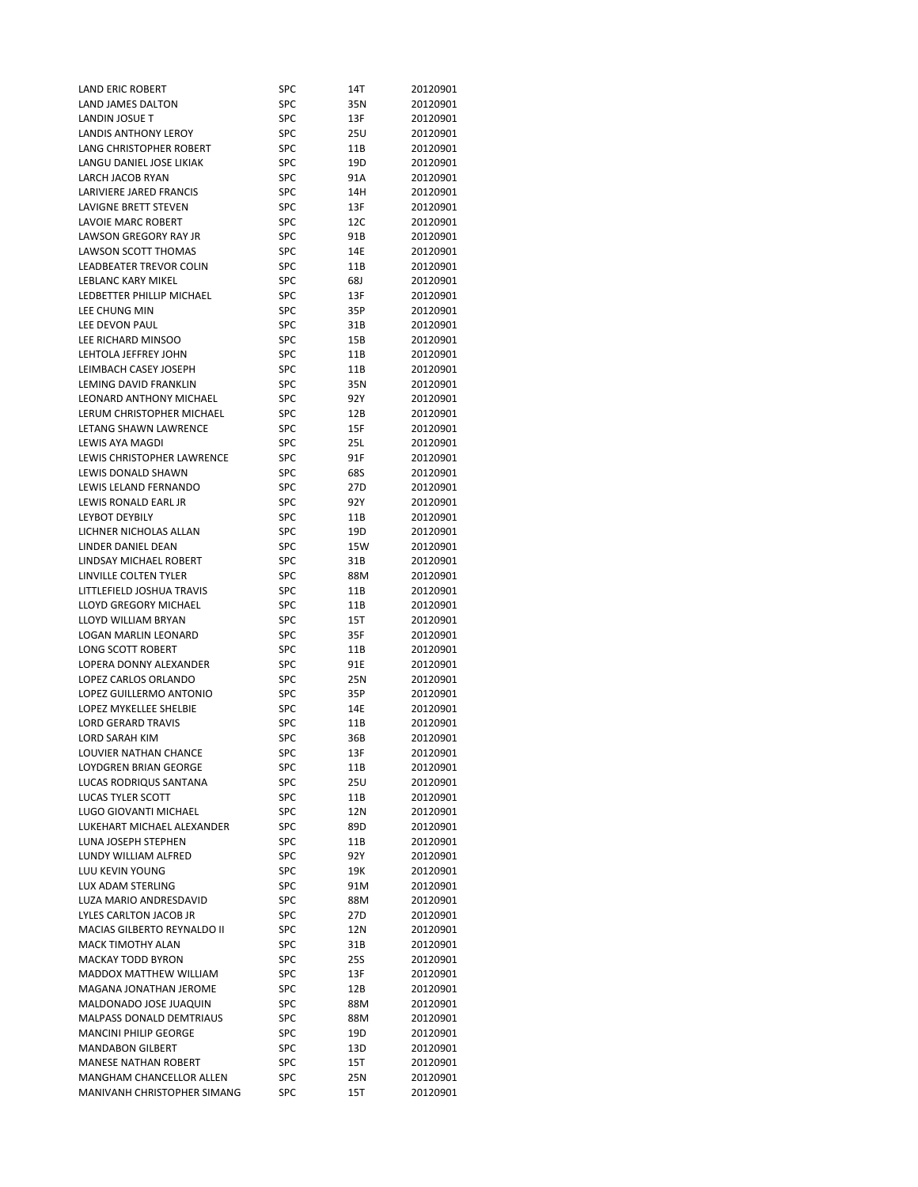| LAND ERIC ROBERT               | SPC               | 14T  | 20120901 |
|--------------------------------|-------------------|------|----------|
| LAND JAMES DALTON              | SPC               | 35N  | 20120901 |
| LANDIN JOSUE T                 | SPC               | 13F  | 20120901 |
| LANDIS ANTHONY LEROY           | SPC               | 25U  | 20120901 |
| LANG CHRISTOPHER ROBERT        | SPC               | 11B  | 20120901 |
| LANGU DANIEL JOSE LIKIAK       | SPC               | 19D  | 20120901 |
| <b>LARCH JACOB RYAN</b>        | SPC               | 91A  | 20120901 |
| LARIVIERE JARED FRANCIS        | SPC               | 14H  | 20120901 |
| LAVIGNE BRETT STEVEN           | SPC               | 13F  | 20120901 |
| LAVOIE MARC ROBERT             | SPC               | 12C  | 20120901 |
| LAWSON GREGORY RAY JR          | SPC               | 91B  | 20120901 |
| LAWSON SCOTT THOMAS            | SPC               | 14E  | 20120901 |
| LEADBEATER TREVOR COLIN        | <b>SPC</b>        | 11B  | 20120901 |
| <b>LEBLANC KARY MIKEL</b>      |                   |      |          |
|                                | <b>SPC</b>        | 68J  | 20120901 |
| LEDBETTER PHILLIP MICHAEL      | SPC               | 13F  | 20120901 |
| LEE CHUNG MIN                  | <b>SPC</b>        | 35P  | 20120901 |
| LEE DEVON PAUL                 | <b>SPC</b>        | 31B  | 20120901 |
| LEE RICHARD MINSOO             | SPC               | 15B  | 20120901 |
| LEHTOLA JEFFREY JOHN           | SPC               | 11B  | 20120901 |
| LEIMBACH CASEY JOSEPH          | SPC               | 11B  | 20120901 |
| LEMING DAVID FRANKLIN          | SPC               | 35N  | 20120901 |
| <b>LEONARD ANTHONY MICHAEL</b> | SPC               | 92 Y | 20120901 |
| LERUM CHRISTOPHER MICHAEL      | SPC               | 12B  | 20120901 |
| LETANG SHAWN LAWRENCE          | SPC               | 15F  | 20120901 |
| <b>LEWIS AYA MAGDI</b>         | SPC               | 25L  | 20120901 |
| LEWIS CHRISTOPHER LAWRENCE     | SPC               | 91F  | 20120901 |
| <b>LEWIS DONALD SHAWN</b>      | SPC               | 68S  | 20120901 |
| LEWIS LELAND FERNANDO          | SPC               | 27D  | 20120901 |
| LEWIS RONALD EARL JR           | SPC               | 92 Y | 20120901 |
| <b>LEYBOT DEYBILY</b>          | <b>SPC</b>        | 11B  | 20120901 |
| LICHNER NICHOLAS ALLAN         | SPC               | 19D  | 20120901 |
| LINDER DANIEL DEAN             | SPC               | 15W  | 20120901 |
| LINDSAY MICHAEL ROBERT         | SPC               | 31B  | 20120901 |
| LINVILLE COLTEN TYLER          | <b>SPC</b>        | 88M  | 20120901 |
| LITTLEFIELD JOSHUA TRAVIS      | SPC               | 11B  | 20120901 |
| LLOYD GREGORY MICHAEL          | <b>SPC</b>        | 11B  | 20120901 |
| LLOYD WILLIAM BRYAN            | SPC               | 15T  | 20120901 |
| LOGAN MARLIN LEONARD           | SPC               |      |          |
|                                |                   | 35F  | 20120901 |
| <b>LONG SCOTT ROBERT</b>       | SPC<br><b>SPC</b> | 11B  | 20120901 |
| LOPERA DONNY ALEXANDER         |                   | 91E  | 20120901 |
| LOPEZ CARLOS ORLANDO           | <b>SPC</b>        | 25N  | 20120901 |
| LOPEZ GUILLERMO ANTONIO        | <b>SPC</b>        | 35P  | 20120901 |
| LOPEZ MYKELLEE SHELBIE         | SPC               | 14E  | 20120901 |
| <b>LORD GERARD TRAVIS</b>      | SPC               | 11B  | 20120901 |
| LORD SARAH KIM                 | SPC               | 36B  | 20120901 |
| LOUVIER NATHAN CHANCE          | SPC               | 13F  | 20120901 |
| LOYDGREN BRIAN GEORGE          | SPC               | 11B  | 20120901 |
| LUCAS RODRIQUS SANTANA         | SPC               | 25U  | 20120901 |
| <b>LUCAS TYLER SCOTT</b>       | SPC               | 11B  | 20120901 |
| LUGO GIOVANTI MICHAEL          | <b>SPC</b>        | 12N  | 20120901 |
| LUKEHART MICHAEL ALEXANDER     | SPC               | 89D  | 20120901 |
| LUNA JOSEPH STEPHEN            | SPC               | 11B  | 20120901 |
| LUNDY WILLIAM ALFRED           | SPC               | 92 Y | 20120901 |
| LUU KEVIN YOUNG                | SPC               | 19K  | 20120901 |
| LUX ADAM STERLING              | SPC               | 91M  | 20120901 |
| LUZA MARIO ANDRESDAVID         | SPC               | 88M  | 20120901 |
| LYLES CARLTON JACOB JR         | SPC               | 27D  | 20120901 |
| MACIAS GILBERTO REYNALDO II    | SPC               | 12N  | 20120901 |
| <b>MACK TIMOTHY ALAN</b>       | SPC               | 31B  | 20120901 |
| <b>MACKAY TODD BYRON</b>       | SPC               | 25S  | 20120901 |
|                                |                   |      |          |
| MADDOX MATTHEW WILLIAM         | <b>SPC</b>        | 13F  | 20120901 |
| MAGANA JONATHAN JEROME         | SPC               | 12B  | 20120901 |
| MALDONADO JOSE JUAQUIN         | SPC               | 88M  | 20120901 |
| MALPASS DONALD DEMTRIAUS       | SPC               | 88M  | 20120901 |
| <b>MANCINI PHILIP GEORGE</b>   | SPC               | 19D  | 20120901 |
| <b>MANDABON GILBERT</b>        | SPC               | 13D  | 20120901 |
| <b>MANESE NATHAN ROBERT</b>    | SPC               | 15T  | 20120901 |
| MANGHAM CHANCELLOR ALLEN       | SPC               | 25N  | 20120901 |
| MANIVANH CHRISTOPHER SIMANG    | SPC               | 15T  | 20120901 |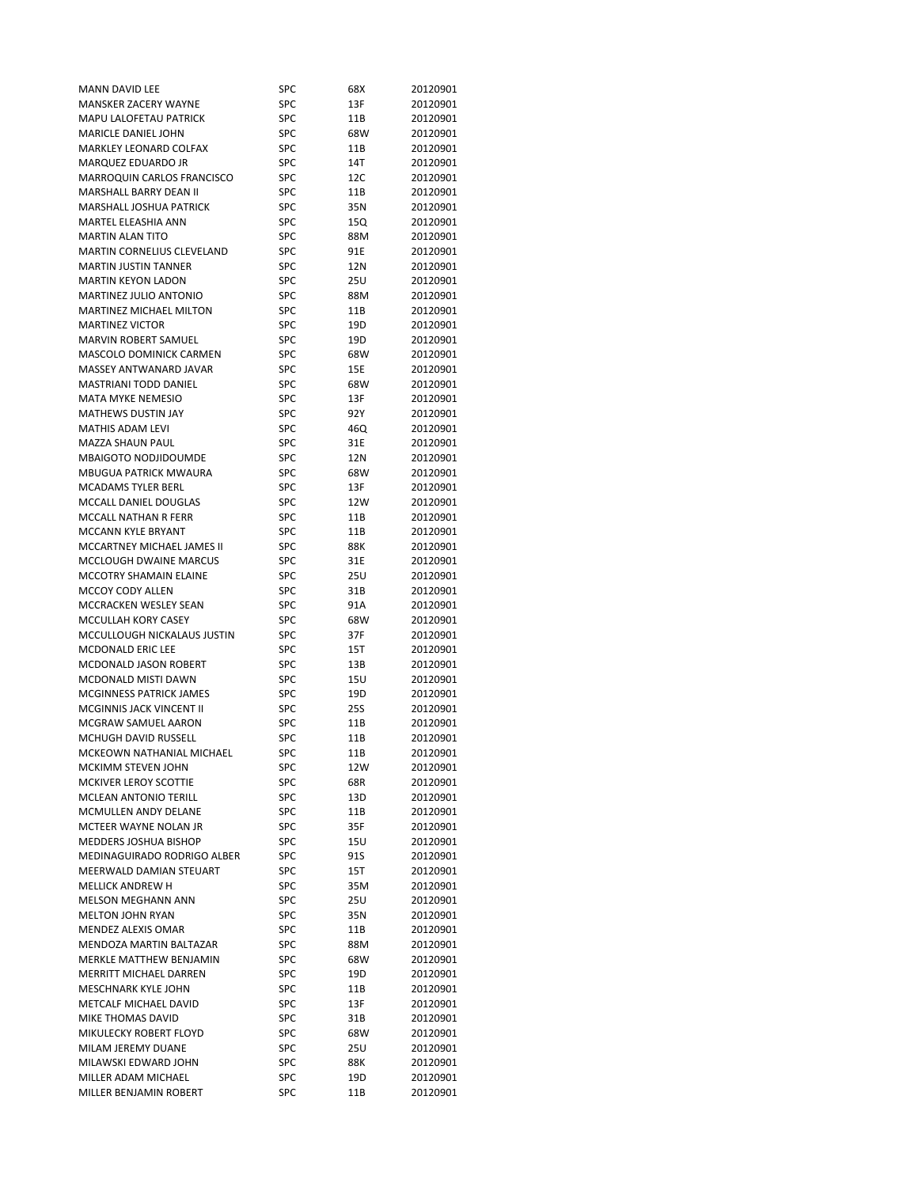| MANN DAVID LEE                    | SPC        | 68X             | 20120901 |
|-----------------------------------|------------|-----------------|----------|
| MANSKER ZACERY WAYNE              | <b>SPC</b> | 13F             | 20120901 |
| MAPU LALOFETAU PATRICK            | SPC        | 11B             | 20120901 |
| <b>MARICLE DANIEL JOHN</b>        | SPC        | 68W             | 20120901 |
| MARKLEY LEONARD COLFAX            | SPC        | 11B             | 20120901 |
| MARQUEZ EDUARDO JR                | SPC        | 14T             | 20120901 |
| MARROQUIN CARLOS FRANCISCO        | SPC        | 12C             | 20120901 |
| <b>MARSHALL BARRY DEAN II</b>     | SPC        | 11B             | 20120901 |
| <b>MARSHALL JOSHUA PATRICK</b>    | SPC        | 35N             | 20120901 |
| MARTEL ELEASHIA ANN               | SPC        | 15Q             | 20120901 |
| <b>MARTIN ALAN TITO</b>           | SPC        | 88M             | 20120901 |
| <b>MARTIN CORNELIUS CLEVELAND</b> |            |                 |          |
|                                   | SPC        | 91E             | 20120901 |
| <b>MARTIN JUSTIN TANNER</b>       | <b>SPC</b> | 12N             | 20120901 |
| <b>MARTIN KEYON LADON</b>         | <b>SPC</b> | 25U             | 20120901 |
| MARTINEZ JULIO ANTONIO            | SPC        | 88M             | 20120901 |
| MARTINEZ MICHAEL MILTON           | <b>SPC</b> | 11B             | 20120901 |
| <b>MARTINEZ VICTOR</b>            | <b>SPC</b> | 19D             | 20120901 |
| MARVIN ROBERT SAMUEL              | SPC        | 19D             | 20120901 |
| MASCOLO DOMINICK CARMEN           | SPC        | 68W             | 20120901 |
| MASSEY ANTWANARD JAVAR            | <b>SPC</b> | 15E             | 20120901 |
| <b>MASTRIANI TODD DANIEL</b>      | SPC        | 68W             | 20120901 |
| <b>MATA MYKE NEMESIO</b>          | SPC        | 13F             | 20120901 |
| MATHEWS DUSTIN JAY                | SPC        | 92 Y            | 20120901 |
| <b>MATHIS ADAM LEVI</b>           | SPC        | 46Q             | 20120901 |
| <b>MAZZA SHAUN PAUL</b>           | <b>SPC</b> | 31E             | 20120901 |
| MBAIGOTO NODJIDOUMDE              | SPC        | 12N             | 20120901 |
| MBUGUA PATRICK MWAURA             | SPC        | 68W             | 20120901 |
| <b>MCADAMS TYLER BERL</b>         | SPC        | 13F             | 20120901 |
|                                   |            |                 |          |
| MCCALL DANIEL DOUGLAS             | SPC        | 12W             | 20120901 |
| MCCALL NATHAN R FERR              | <b>SPC</b> | 11B             | 20120901 |
| MCCANN KYLE BRYANT                | SPC        | 11B             | 20120901 |
| MCCARTNEY MICHAEL JAMES II        | SPC        | 88K             | 20120901 |
| MCCLOUGH DWAINE MARCUS            | SPC        | 31E             | 20120901 |
| MCCOTRY SHAMAIN ELAINE            | <b>SPC</b> | 25U             | 20120901 |
| MCCOY CODY ALLEN                  | SPC        | 31B             | 20120901 |
| MCCRACKEN WESLEY SEAN             | <b>SPC</b> | 91A             | 20120901 |
| MCCULLAH KORY CASEY               | SPC        | 68W             | 20120901 |
| MCCULLOUGH NICKALAUS JUSTIN       | SPC        | 37F             | 20120901 |
| MCDONALD ERIC LEE                 | <b>SPC</b> | 15T             | 20120901 |
| MCDONALD JASON ROBERT             | SPC        | 13B             | 20120901 |
| MCDONALD MISTI DAWN               | <b>SPC</b> | 15U             | 20120901 |
| MCGINNESS PATRICK JAMES           | <b>SPC</b> | 19D             | 20120901 |
| MCGINNIS JACK VINCENT II          | SPC        | 25S             | 20120901 |
| MCGRAW SAMUEL AARON               | SPC        |                 | 20120901 |
|                                   |            | 11B             |          |
| MCHUGH DAVID RUSSELL              | SPC        | 11B             | 20120901 |
| MCKEOWN NATHANIAL MICHAEL         | SPC        | 11 <sub>B</sub> | 20120901 |
| MCKIMM STEVEN JOHN                | SPC        | 12W             | 20120901 |
| MCKIVER LEROY SCOTTIE             | SPC        | 68R             | 20120901 |
| <b>MCLEAN ANTONIO TERILL</b>      | SPC        | 13D             | 20120901 |
| MCMULLEN ANDY DELANE              | SPC        | 11B             | 20120901 |
| MCTEER WAYNE NOLAN JR             | SPC        | 35F             | 20120901 |
| MEDDERS JOSHUA BISHOP             | SPC        | 15U             | 20120901 |
| MEDINAGUIRADO RODRIGO ALBER       | SPC        | 91S             | 20120901 |
| MEERWALD DAMIAN STEUART           |            |                 |          |
| <b>MELLICK ANDREW H</b>           | SPC        | 15T             | 20120901 |
|                                   |            |                 |          |
|                                   | SPC        | 35M             | 20120901 |
| <b>MELSON MEGHANN ANN</b>         | SPC        | 25U             | 20120901 |
| <b>MELTON JOHN RYAN</b>           | <b>SPC</b> | 35N             | 20120901 |
| MENDEZ ALEXIS OMAR                | SPC        | 11B             | 20120901 |
| MENDOZA MARTIN BALTAZAR           | SPC        | 88M             | 20120901 |
| MERKLE MATTHEW BENJAMIN           | <b>SPC</b> | 68W             | 20120901 |
| MERRITT MICHAEL DARREN            | <b>SPC</b> | 19D             | 20120901 |
| MESCHNARK KYLE JOHN               | SPC        | 11B             | 20120901 |
| METCALF MICHAEL DAVID             | SPC        | 13F             | 20120901 |
| MIKE THOMAS DAVID                 | SPC        | 31B             | 20120901 |
| MIKULECKY ROBERT FLOYD            | SPC        | 68W             | 20120901 |
| MILAM JEREMY DUANE                | SPC        | 25U             | 20120901 |
| MILAWSKI EDWARD JOHN              | SPC        | 88K             | 20120901 |
| MILLER ADAM MICHAEL               | SPC        | 19D             | 20120901 |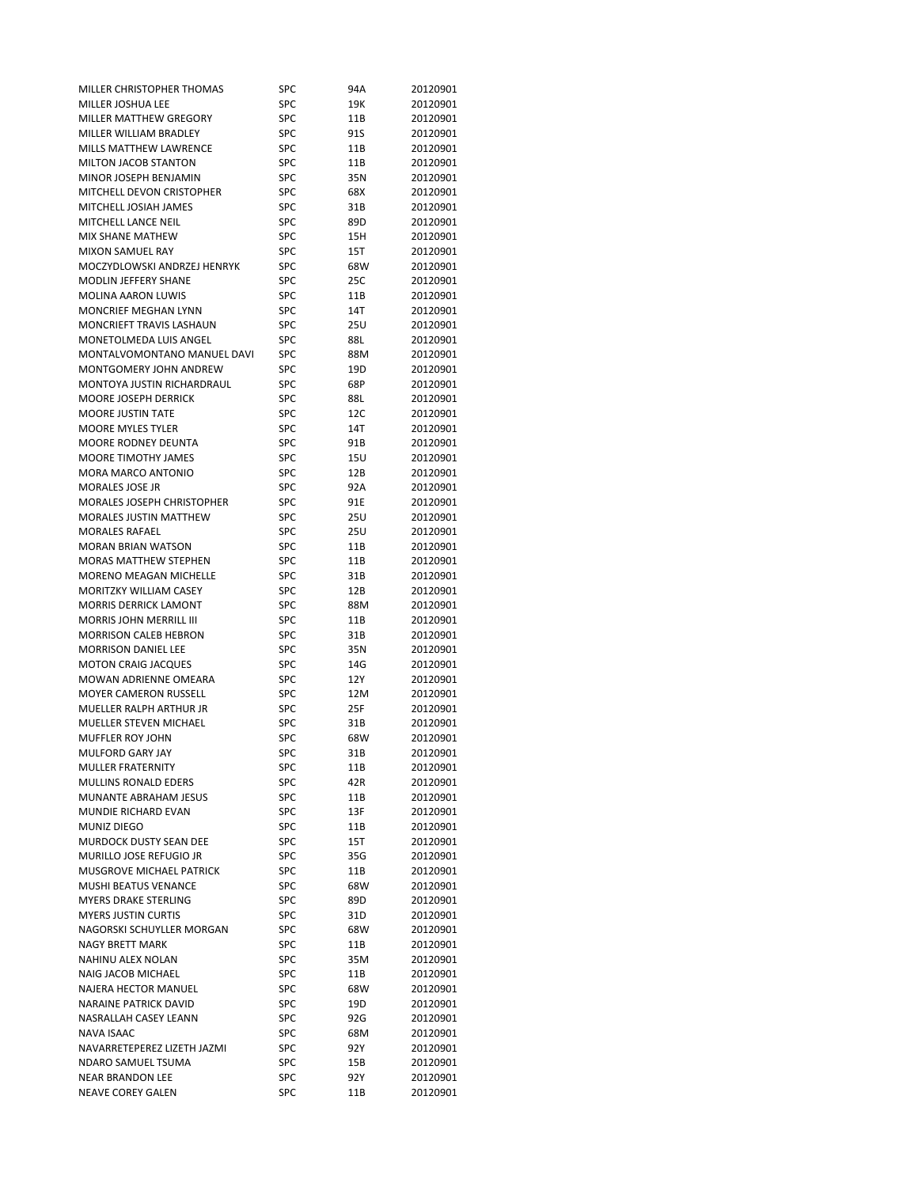| MILLER CHRISTOPHER THOMAS      | SPC        | 94A  | 20120901 |
|--------------------------------|------------|------|----------|
| MILLER JOSHUA LEE              | <b>SPC</b> | 19K  | 20120901 |
| MILLER MATTHEW GREGORY         | SPC        | 11B  | 20120901 |
| MILLER WILLIAM BRADLEY         | SPC        | 91S  | 20120901 |
| MILLS MATTHEW LAWRENCE         | SPC        | 11B  | 20120901 |
| MILTON JACOB STANTON           | SPC        | 11B  | 20120901 |
| MINOR JOSEPH BENJAMIN          | SPC        | 35N  | 20120901 |
| MITCHELL DEVON CRISTOPHER      | SPC        | 68X  | 20120901 |
| MITCHELL JOSIAH JAMES          | SPC        | 31B  | 20120901 |
| MITCHELL LANCE NEIL            | SPC        | 89D  | 20120901 |
| MIX SHANE MATHEW               | SPC        | 15H  | 20120901 |
| <b>MIXON SAMUEL RAY</b>        | SPC        | 15T  | 20120901 |
| MOCZYDLOWSKI ANDRZEJ HENRYK    | <b>SPC</b> | 68W  | 20120901 |
| MODLIN JEFFERY SHANE           | <b>SPC</b> | 25C  | 20120901 |
| <b>MOLINA AARON LUWIS</b>      | SPC        | 11B  | 20120901 |
| MONCRIEF MEGHAN LYNN           | SPC        | 14T  | 20120901 |
| MONCRIEFT TRAVIS LASHAUN       | <b>SPC</b> | 25U  | 20120901 |
| MONETOLMEDA LUIS ANGEL         | SPC        | 88L  | 20120901 |
| MONTALVOMONTANO MANUEL DAVI    | SPC        | 88M  | 20120901 |
| MONTGOMERY JOHN ANDREW         | <b>SPC</b> | 19D  | 20120901 |
| MONTOYA JUSTIN RICHARDRAUL     | SPC        | 68P  | 20120901 |
| MOORE JOSEPH DERRICK           | SPC        | 88L  | 20120901 |
| <b>MOORE JUSTIN TATE</b>       | SPC        | 12C  | 20120901 |
| <b>MOORE MYLES TYLER</b>       | SPC        | 14T  | 20120901 |
| MOORE RODNEY DEUNTA            | <b>SPC</b> | 91B  | 20120901 |
| MOORE TIMOTHY JAMES            | SPC        |      | 20120901 |
| <b>MORA MARCO ANTONIO</b>      | SPC        | 15U  |          |
|                                | SPC        | 12B  | 20120901 |
| MORALES JOSE JR                |            | 92A  | 20120901 |
| MORALES JOSEPH CHRISTOPHER     | <b>SPC</b> | 91E  | 20120901 |
| <b>MORALES JUSTIN MATTHEW</b>  | <b>SPC</b> | 25U  | 20120901 |
| <b>MORALES RAFAEL</b>          | <b>SPC</b> | 25U  | 20120901 |
| MORAN BRIAN WATSON             | SPC        | 11B  | 20120901 |
| <b>MORAS MATTHEW STEPHEN</b>   | SPC        | 11B  | 20120901 |
| <b>MORENO MEAGAN MICHELLE</b>  | <b>SPC</b> | 31B  | 20120901 |
| MORITZKY WILLIAM CASEY         | SPC        | 12B  | 20120901 |
| <b>MORRIS DERRICK LAMONT</b>   | <b>SPC</b> | 88M  | 20120901 |
| <b>MORRIS JOHN MERRILL III</b> | SPC        | 11B  | 20120901 |
| <b>MORRISON CALEB HEBRON</b>   | SPC        | 31B  | 20120901 |
| <b>MORRISON DANIEL LEE</b>     | <b>SPC</b> | 35N  | 20120901 |
| <b>MOTON CRAIG JACQUES</b>     | SPC        | 14G  | 20120901 |
| MOWAN ADRIENNE OMEARA          | <b>SPC</b> | 12Y  | 20120901 |
| <b>MOYER CAMERON RUSSELL</b>   | <b>SPC</b> | 12M  | 20120901 |
| <b>MUELLER RALPH ARTHUR JR</b> | <b>SPC</b> | 25F  | 20120901 |
| MUELLER STEVEN MICHAEL         | SPC        | 31B  | 20120901 |
| <b>MUFFLER ROY JOHN</b>        | SPC        | 68W  | 20120901 |
| MULFORD GARY JAY               | SPC        | 31B  | 20120901 |
| <b>MULLER FRATERNITY</b>       | <b>SPC</b> | 11B  | 20120901 |
| <b>MULLINS RONALD EDERS</b>    | SPC        | 42R  | 20120901 |
| MUNANTE ABRAHAM JESUS          | SPC        | 11B  | 20120901 |
| MUNDIE RICHARD EVAN            | SPC        | 13F  | 20120901 |
| MUNIZ DIEGO                    | SPC        | 11B  | 20120901 |
| MURDOCK DUSTY SEAN DEE         | SPC        | 15T  | 20120901 |
| MURILLO JOSE REFUGIO JR        | SPC        | 35G  | 20120901 |
| MUSGROVE MICHAEL PATRICK       | SPC        | 11B  | 20120901 |
| MUSHI BEATUS VENANCE           | SPC        | 68W  | 20120901 |
| <b>MYERS DRAKE STERLING</b>    | SPC        | 89D  | 20120901 |
| <b>MYERS JUSTIN CURTIS</b>     | <b>SPC</b> | 31D  | 20120901 |
| NAGORSKI SCHUYLLER MORGAN      | SPC        | 68W  | 20120901 |
| <b>NAGY BRETT MARK</b>         | SPC        | 11B  | 20120901 |
| NAHINU ALEX NOLAN              | SPC        | 35M  | 20120901 |
| NAIG JACOB MICHAEL             | SPC        | 11B  | 20120901 |
| NAJERA HECTOR MANUEL           | SPC        | 68W  | 20120901 |
| NARAINE PATRICK DAVID          | SPC        | 19D  | 20120901 |
| NASRALLAH CASEY LEANN          | SPC        | 92G  | 20120901 |
| NAVA ISAAC                     | SPC        | 68M  | 20120901 |
| NAVARRETEPEREZ LIZETH JAZMI    | SPC        | 92Y  | 20120901 |
| NDARO SAMUEL TSUMA             | SPC        | 15B  | 20120901 |
| <b>NEAR BRANDON LEE</b>        | SPC        | 92 Y | 20120901 |
| NEAVE COREY GALEN              | SPC        | 11B  | 20120901 |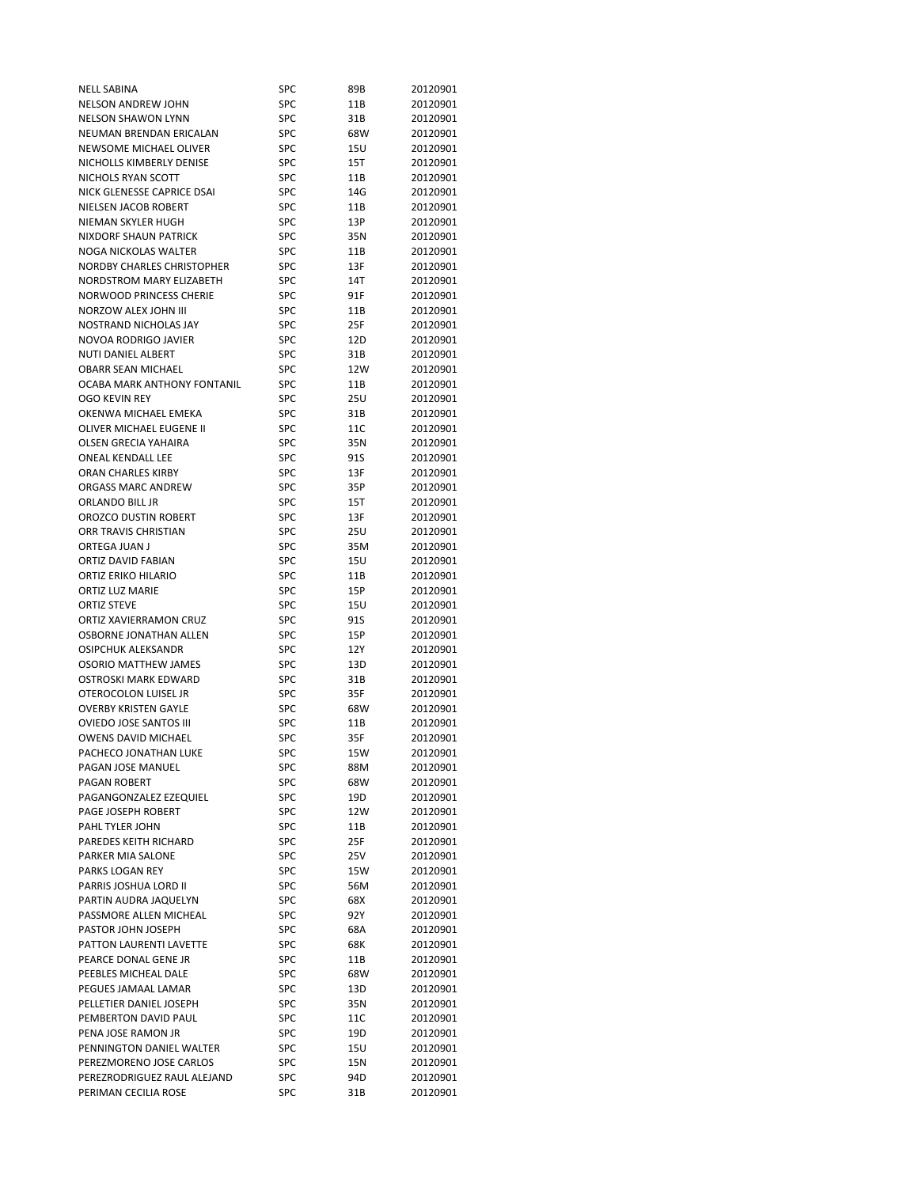| NELL SABINA                       | SPC        | 89B  | 20120901 |
|-----------------------------------|------------|------|----------|
| NELSON ANDREW JOHN                | SPC        | 11B  | 20120901 |
| <b>NELSON SHAWON LYNN</b>         | SPC        | 31B  | 20120901 |
| NEUMAN BRENDAN ERICALAN           | <b>SPC</b> | 68W  | 20120901 |
| NEWSOME MICHAEL OLIVER            | SPC        | 15U  | 20120901 |
| NICHOLLS KIMBERLY DENISE          | <b>SPC</b> | 15T  | 20120901 |
| NICHOLS RYAN SCOTT                | <b>SPC</b> | 11B  | 20120901 |
| NICK GLENESSE CAPRICE DSAI        | <b>SPC</b> | 14G  | 20120901 |
| NIELSEN JACOB ROBERT              | <b>SPC</b> | 11B  | 20120901 |
| NIEMAN SKYLER HUGH                | SPC        | 13P  | 20120901 |
| NIXDORF SHAUN PATRICK             | SPC        | 35N  | 20120901 |
| NOGA NICKOLAS WALTER              | SPC        | 11B  | 20120901 |
| <b>NORDBY CHARLES CHRISTOPHER</b> | SPC        | 13F  | 20120901 |
| NORDSTROM MARY ELIZABETH          | SPC        | 14T  | 20120901 |
| <b>NORWOOD PRINCESS CHERIE</b>    | <b>SPC</b> | 91F  | 20120901 |
| NORZOW ALEX JOHN III              | SPC        | 11B  | 20120901 |
| NOSTRAND NICHOLAS JAY             | SPC        | 25F  | 20120901 |
| NOVOA RODRIGO JAVIER              | <b>SPC</b> | 12D  | 20120901 |
| <b>NUTI DANIEL ALBERT</b>         | SPC        | 31B  | 20120901 |
| <b>OBARR SEAN MICHAEL</b>         | SPC        | 12W  | 20120901 |
| OCABA MARK ANTHONY FONTANIL       | SPC        |      |          |
|                                   |            | 11B  | 20120901 |
| OGO KEVIN REY                     | <b>SPC</b> | 25U  | 20120901 |
| OKENWA MICHAEL EMEKA              | <b>SPC</b> | 31B  | 20120901 |
| OLIVER MICHAEL EUGENE II          | <b>SPC</b> | 11C  | 20120901 |
| <b>OLSEN GRECIA YAHAIRA</b>       | SPC        | 35N  | 20120901 |
| <b>ONEAL KENDALL LEE</b>          | SPC        | 91S  | 20120901 |
| ORAN CHARLES KIRBY                | SPC        | 13F  | 20120901 |
| ORGASS MARC ANDREW                | SPC        | 35P  | 20120901 |
| ORLANDO BILL JR                   | <b>SPC</b> | 15T  | 20120901 |
| OROZCO DUSTIN ROBERT              | <b>SPC</b> | 13F  | 20120901 |
| ORR TRAVIS CHRISTIAN              | SPC        | 25U  | 20120901 |
| ORTEGA JUAN J                     | <b>SPC</b> | 35M  | 20120901 |
| ORTIZ DAVID FABIAN                | <b>SPC</b> | 15U  | 20120901 |
| ORTIZ ERIKO HILARIO               | SPC        | 11B  | 20120901 |
| <b>ORTIZ LUZ MARIE</b>            | SPC        | 15P  | 20120901 |
| <b>ORTIZ STEVE</b>                | <b>SPC</b> | 15U  | 20120901 |
| ORTIZ XAVIERRAMON CRUZ            | SPC        | 91S  | 20120901 |
| OSBORNE JONATHAN ALLEN            | <b>SPC</b> | 15P  | 20120901 |
| <b>OSIPCHUK ALEKSANDR</b>         | SPC        | 12Y  | 20120901 |
| <b>OSORIO MATTHEW JAMES</b>       | <b>SPC</b> | 13D  | 20120901 |
| OSTROSKI MARK EDWARD              | SPC        | 31B  | 20120901 |
| OTEROCOLON LUISEL JR              | SPC        | 35F  | 20120901 |
| <b>OVERBY KRISTEN GAYLE</b>       | <b>SPC</b> | 68W  | 20120901 |
| <b>OVIEDO JOSE SANTOS III</b>     | SPC        | 11B  | 20120901 |
| <b>OWENS DAVID MICHAEL</b>        | <b>SPC</b> | 35F  | 20120901 |
| PACHECO JONATHAN LUKE             | SPC        | 15W  | 20120901 |
| PAGAN JOSE MANUEL                 | SPC        | 88M  | 20120901 |
| PAGAN ROBERT                      | SPC        | 68W  | 20120901 |
| PAGANGONZALEZ EZEQUIEL            | SPC        | 19D  | 20120901 |
| PAGE JOSEPH ROBERT                | SPC        | 12W  | 20120901 |
| PAHL TYLER JOHN                   | SPC        | 11B  | 20120901 |
| PAREDES KEITH RICHARD             | SPC        | 25F  | 20120901 |
| PARKER MIA SALONE                 | SPC        | 25V  | 20120901 |
| PARKS LOGAN REY                   | SPC        | 15W  | 20120901 |
| PARRIS JOSHUA LORD II             | SPC        | 56M  | 20120901 |
| PARTIN AUDRA JAQUELYN             | SPC        | 68X  | 20120901 |
| PASSMORE ALLEN MICHEAL            | SPC        | 92 Y | 20120901 |
| PASTOR JOHN JOSEPH                | SPC        | 68A  | 20120901 |
| PATTON LAURENTI LAVETTE           | SPC        | 68K  | 20120901 |
| PEARCE DONAL GENE JR              | <b>SPC</b> | 11B  | 20120901 |
| PEEBLES MICHEAL DALE              |            |      |          |
|                                   | <b>SPC</b> | 68W  | 20120901 |
| PEGUES JAMAAL LAMAR               | SPC        | 13D  | 20120901 |
| PELLETIER DANIEL JOSEPH           | SPC        | 35N  | 20120901 |
| PEMBERTON DAVID PAUL              | SPC        | 11C  | 20120901 |
| PENA JOSE RAMON JR                | SPC        | 19D  | 20120901 |
| PENNINGTON DANIEL WALTER          | SPC        | 15U  | 20120901 |
| PEREZMORENO JOSE CARLOS           | SPC        | 15N  | 20120901 |
| PEREZRODRIGUEZ RAUL ALEJAND       | SPC        | 94D  | 20120901 |
| PERIMAN CECILIA ROSE              | SPC        | 31B  | 20120901 |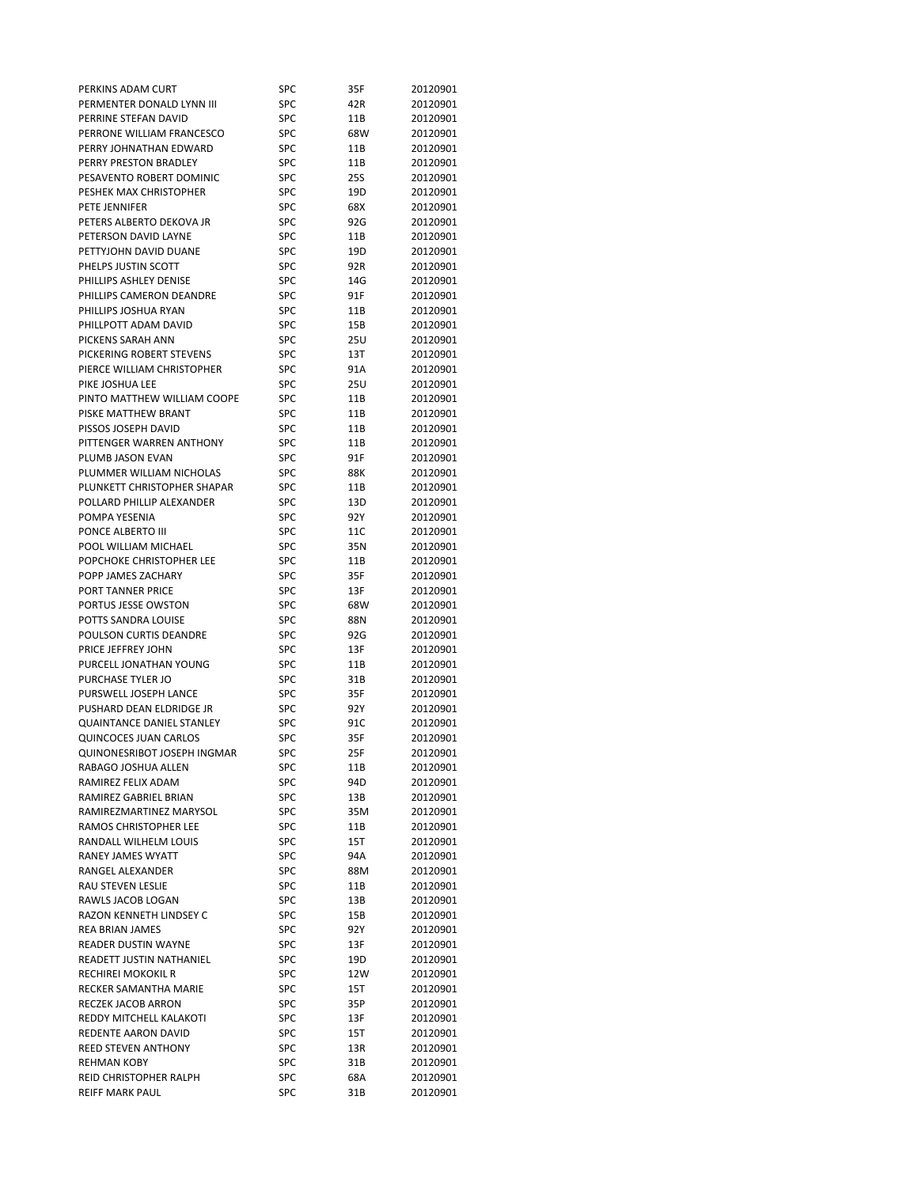| PERKINS ADAM CURT                                 | SPC        | 35F  | 20120901 |
|---------------------------------------------------|------------|------|----------|
| PERMENTER DONALD LYNN III                         | <b>SPC</b> | 42R  | 20120901 |
| PERRINE STEFAN DAVID                              | SPC        | 11B  | 20120901 |
| PERRONE WILLIAM FRANCESCO                         | SPC        | 68W  | 20120901 |
| PERRY JOHNATHAN EDWARD                            | SPC        | 11B  | 20120901 |
| PERRY PRESTON BRADLEY                             | <b>SPC</b> | 11B  | 20120901 |
| PESAVENTO ROBERT DOMINIC                          | SPC        | 25S  | 20120901 |
| PESHEK MAX CHRISTOPHER                            | <b>SPC</b> | 19D  | 20120901 |
| PETE JENNIFER                                     | <b>SPC</b> | 68X  | 20120901 |
| PETERS ALBERTO DEKOVA JR                          | SPC        | 92G  | 20120901 |
| PETERSON DAVID LAYNE                              | SPC        | 11B  | 20120901 |
| PETTYJOHN DAVID DUANE                             | SPC        | 19D  | 20120901 |
| PHELPS JUSTIN SCOTT                               | <b>SPC</b> | 92R  | 20120901 |
| PHILLIPS ASHLEY DENISE                            | <b>SPC</b> | 14G  | 20120901 |
| PHILLIPS CAMERON DEANDRE                          | <b>SPC</b> | 91F  | 20120901 |
| PHILLIPS JOSHUA RYAN                              | SPC        | 11B  | 20120901 |
| PHILLPOTT ADAM DAVID                              | <b>SPC</b> | 15B  | 20120901 |
| PICKENS SARAH ANN                                 | SPC        |      |          |
|                                                   |            | 25U  | 20120901 |
| PICKERING ROBERT STEVENS                          | SPC        | 13T  | 20120901 |
| PIERCE WILLIAM CHRISTOPHER                        | SPC        | 91A  | 20120901 |
| PIKE JOSHUA LEE                                   | SPC        | 25U  | 20120901 |
| PINTO MATTHEW WILLIAM COOPE                       | SPC        | 11B  | 20120901 |
| PISKE MATTHEW BRANT                               | SPC        | 11B  | 20120901 |
| PISSOS JOSEPH DAVID                               | <b>SPC</b> | 11B  | 20120901 |
| PITTENGER WARREN ANTHONY                          | <b>SPC</b> | 11B  | 20120901 |
| PLUMB JASON EVAN                                  | SPC        | 91F  | 20120901 |
| PLUMMER WILLIAM NICHOLAS                          | SPC        | 88K  | 20120901 |
| PLUNKETT CHRISTOPHER SHAPAR                       | SPC        | 11B  | 20120901 |
| POLLARD PHILLIP ALEXANDER                         | SPC        | 13D  | 20120901 |
| POMPA YESENIA                                     | SPC        | 92 Y | 20120901 |
| PONCE ALBERTO III                                 | <b>SPC</b> | 11C  | 20120901 |
| POOL WILLIAM MICHAEL                              | SPC        | 35N  | 20120901 |
| POPCHOKE CHRISTOPHER LEE                          | SPC        | 11B  | 20120901 |
| POPP JAMES ZACHARY                                | SPC        | 35F  | 20120901 |
| PORT TANNER PRICE                                 | SPC        | 13F  | 20120901 |
| PORTUS JESSE OWSTON                               | SPC        | 68W  | 20120901 |
| POTTS SANDRA LOUISE                               | SPC        | 88N  | 20120901 |
| POULSON CURTIS DEANDRE                            | SPC        | 92G  | 20120901 |
| PRICE JEFFREY JOHN                                | <b>SPC</b> | 13F  | 20120901 |
| PURCELL JONATHAN YOUNG                            | SPC        | 11B  | 20120901 |
| PURCHASE TYLER JO                                 | SPC        | 31B  | 20120901 |
| PURSWELL JOSEPH LANCE                             | SPC        | 35F  | 20120901 |
| PUSHARD DEAN ELDRIDGE JR                          | SPC        | 92 Y | 20120901 |
| <b>QUAINTANCE DANIEL STANLEY</b>                  | SPC        | 91C  | 20120901 |
| QUINCOCES JUAN CARLOS                             | SPC        | 35F  | 20120901 |
| QUINONESRIBOT JOSEPH INGMAR                       | SPC        | 25F  | 20120901 |
| RABAGO JOSHUA ALLEN                               | SPC        | 11B  | 20120901 |
| RAMIREZ FELIX ADAM                                | SPC        | 94D  | 20120901 |
| RAMIREZ GABRIEL BRIAN                             | SPC        | 13B  | 20120901 |
| RAMIREZMARTINEZ MARYSOL                           | <b>SPC</b> | 35M  | 20120901 |
| RAMOS CHRISTOPHER LEE                             |            |      |          |
|                                                   | SPC        | 11B  | 20120901 |
| RANDALL WILHELM LOUIS<br><b>RANEY JAMES WYATT</b> | SPC        | 15T  | 20120901 |
| RANGEL ALEXANDER                                  | SPC        | 94A  | 20120901 |
|                                                   | SPC        | 88M  | 20120901 |
| RAU STEVEN LESLIE                                 | SPC        | 11B  | 20120901 |
| RAWLS JACOB LOGAN                                 | SPC        | 13B  | 20120901 |
| RAZON KENNETH LINDSEY C                           | SPC        | 15B  | 20120901 |
| <b>REA BRIAN JAMES</b>                            | SPC        | 92 Y | 20120901 |
| <b>READER DUSTIN WAYNE</b>                        | SPC        | 13F  | 20120901 |
| READETT JUSTIN NATHANIEL                          | SPC        | 19D  | 20120901 |
| RECHIREI MOKOKIL R                                | <b>SPC</b> | 12W  | 20120901 |
| RECKER SAMANTHA MARIE                             | SPC        | 15T  | 20120901 |
| RECZEK JACOB ARRON                                | SPC        | 35P  | 20120901 |
| REDDY MITCHELL KALAKOTI                           | SPC        | 13F  | 20120901 |
| REDENTE AARON DAVID                               | SPC        | 15T  | 20120901 |
| REED STEVEN ANTHONY                               |            |      |          |
|                                                   | SPC        | 13R  | 20120901 |
| <b>REHMAN KOBY</b>                                | SPC        | 31B  | 20120901 |
| REID CHRISTOPHER RALPH                            | SPC        | 68A  | 20120901 |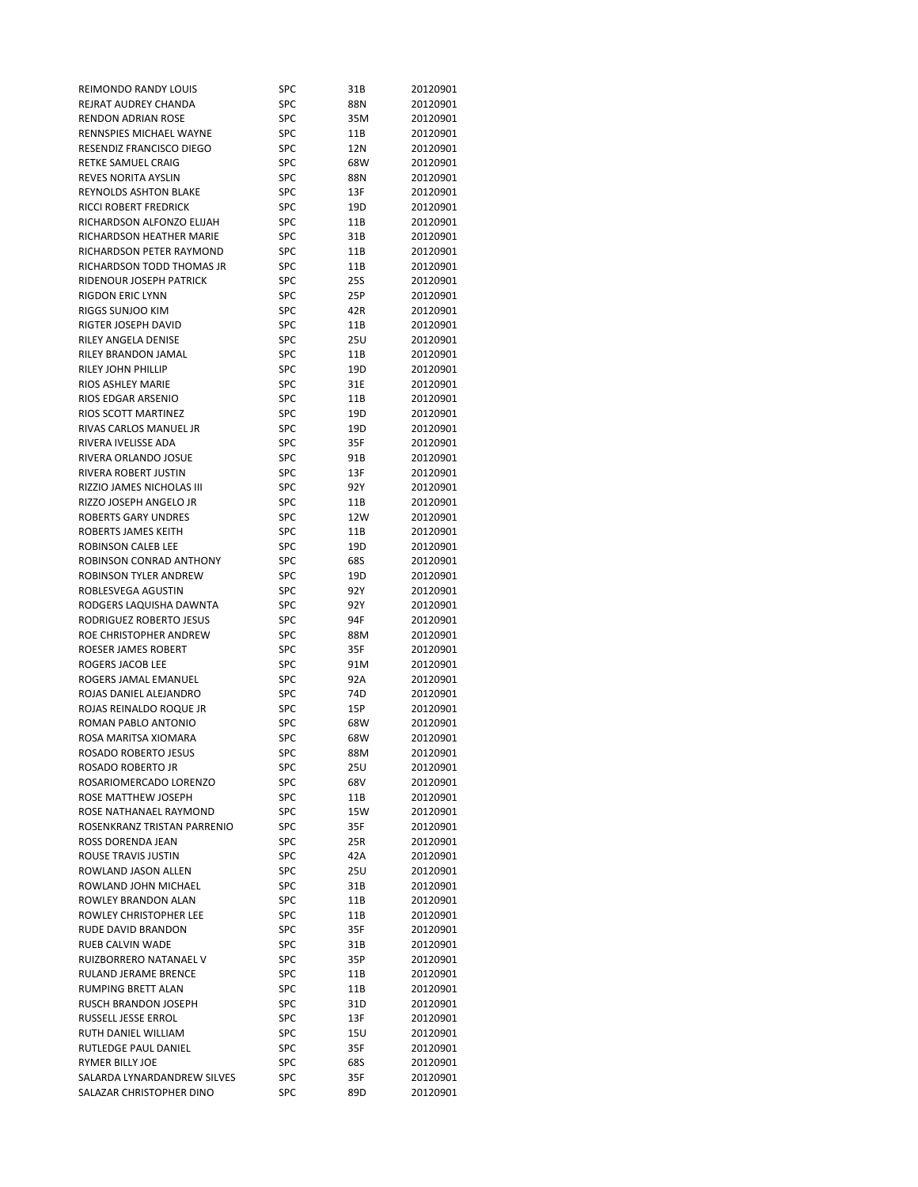| REIMONDO RANDY LOUIS           | SPC        | 31B  | 20120901 |
|--------------------------------|------------|------|----------|
| REJRAT AUDREY CHANDA           | <b>SPC</b> | 88N  | 20120901 |
| RENDON ADRIAN ROSE             | SPC        | 35M  | 20120901 |
| <b>RENNSPIES MICHAEL WAYNE</b> | SPC        | 11B  | 20120901 |
| RESENDIZ FRANCISCO DIEGO       | <b>SPC</b> | 12N  | 20120901 |
| RETKE SAMUEL CRAIG             | <b>SPC</b> | 68W  | 20120901 |
| REVES NORITA AYSLIN            | <b>SPC</b> | 88N  | 20120901 |
| REYNOLDS ASHTON BLAKE          | <b>SPC</b> | 13F  | 20120901 |
| RICCI ROBERT FREDRICK          | SPC        | 19D  | 20120901 |
| RICHARDSON ALFONZO ELIJAH      | SPC        | 11B  | 20120901 |
| RICHARDSON HEATHER MARIE       | SPC        | 31B  | 20120901 |
| RICHARDSON PETER RAYMOND       | SPC        | 11B  | 20120901 |
| RICHARDSON TODD THOMAS JR      | SPC        | 11B  | 20120901 |
| <b>RIDENOUR JOSEPH PATRICK</b> | <b>SPC</b> | 25S  | 20120901 |
| <b>RIGDON ERIC LYNN</b>        | SPC        | 25P  | 20120901 |
| RIGGS SUNJOO KIM               | SPC        | 42R  | 20120901 |
| RIGTER JOSEPH DAVID            |            |      |          |
|                                | SPC        | 11B  | 20120901 |
| RILEY ANGELA DENISE            | SPC        | 25U  | 20120901 |
| RILEY BRANDON JAMAL            | SPC        | 11B  | 20120901 |
| RILEY JOHN PHILLIP             | <b>SPC</b> | 19D  | 20120901 |
| RIOS ASHLEY MARIE              | SPC        | 31E  | 20120901 |
| RIOS EDGAR ARSENIO             | SPC        | 11B  | 20120901 |
| RIOS SCOTT MARTINEZ            | SPC        | 19D  | 20120901 |
| RIVAS CARLOS MANUEL JR         | <b>SPC</b> | 19D  | 20120901 |
| RIVERA IVELISSE ADA            | <b>SPC</b> | 35F  | 20120901 |
| RIVERA ORLANDO JOSUE           | <b>SPC</b> | 91B  | 20120901 |
| RIVERA ROBERT JUSTIN           | SPC        | 13F  | 20120901 |
| RIZZIO JAMES NICHOLAS III      | SPC        | 92 Y | 20120901 |
| RIZZO JOSEPH ANGELO JR         | <b>SPC</b> | 11B  | 20120901 |
| <b>ROBERTS GARY UNDRES</b>     | SPC        | 12W  | 20120901 |
| ROBERTS JAMES KEITH            | SPC        | 11B  | 20120901 |
| ROBINSON CALEB LEE             | <b>SPC</b> | 19D  | 20120901 |
| ROBINSON CONRAD ANTHONY        | <b>SPC</b> | 68S  | 20120901 |
| ROBINSON TYLER ANDREW          | SPC        | 19D  | 20120901 |
| ROBLESVEGA AGUSTIN             | SPC        | 92 Y | 20120901 |
| RODGERS LAQUISHA DAWNTA        | SPC        | 92 Y | 20120901 |
| RODRIGUEZ ROBERTO JESUS        | <b>SPC</b> | 94F  | 20120901 |
| ROE CHRISTOPHER ANDREW         | SPC        | 88M  | 20120901 |
| ROESER JAMES ROBERT            | SPC        | 35F  | 20120901 |
| ROGERS JACOB LEE               | SPC        | 91M  | 20120901 |
| ROGERS JAMAL EMANUEL           | SPC        | 92A  | 20120901 |
| ROJAS DANIEL ALEJANDRO         | SPC        | 74D  | 20120901 |
| ROJAS REINALDO ROQUE JR        | SPC        |      | 20120901 |
| ROMAN PABLO ANTONIO            | SPC        | 15P  |          |
|                                |            | 68W  | 20120901 |
| ROSA MARITSA XIOMARA           | SPC        | 68W  | 20120901 |
| ROSADO ROBERTO JESUS           | SPC        | 88M  | 20120901 |
| ROSADO ROBERTO JR              | SPC        | 25U  | 20120901 |
| ROSARIOMERCADO LORENZO         | SPC        | 68V  | 20120901 |
| ROSE MATTHEW JOSEPH            | SPC        | 11B  | 20120901 |
| ROSE NATHANAEL RAYMOND         | <b>SPC</b> | 15W  | 20120901 |
| ROSENKRANZ TRISTAN PARRENIO    | SPC        | 35F  | 20120901 |
| ROSS DORENDA JEAN              | SPC        | 25R  | 20120901 |
| ROUSE TRAVIS JUSTIN            | SPC        | 42A  | 20120901 |
| ROWLAND JASON ALLEN            | SPC        | 25U  | 20120901 |
| ROWLAND JOHN MICHAEL           | SPC        | 31B  | 20120901 |
| ROWLEY BRANDON ALAN            | SPC        | 11B  | 20120901 |
| <b>ROWLEY CHRISTOPHER LEE</b>  | <b>SPC</b> | 11B  | 20120901 |
| RUDE DAVID BRANDON             | SPC        | 35F  | 20120901 |
| RUEB CALVIN WADE               | SPC        | 31B  | 20120901 |
| RUIZBORRERO NATANAEL V         | SPC        | 35P  | 20120901 |
| RULAND JERAME BRENCE           | <b>SPC</b> | 11B  | 20120901 |
| RUMPING BRETT ALAN             | SPC        | 11B  | 20120901 |
| RUSCH BRANDON JOSEPH           | SPC        | 31D  | 20120901 |
| RUSSELL JESSE ERROL            | SPC        | 13F  | 20120901 |
| RUTH DANIEL WILLIAM            | SPC        | 15U  | 20120901 |
| RUTLEDGE PAUL DANIEL           | SPC        | 35F  | 20120901 |
| RYMER BILLY JOE                | <b>SPC</b> | 68S  | 20120901 |
| SALARDA LYNARDANDREW SILVES    | SPC        | 35F  | 20120901 |
| SALAZAR CHRISTOPHER DINO       | SPC        | 89D  | 20120901 |
|                                |            |      |          |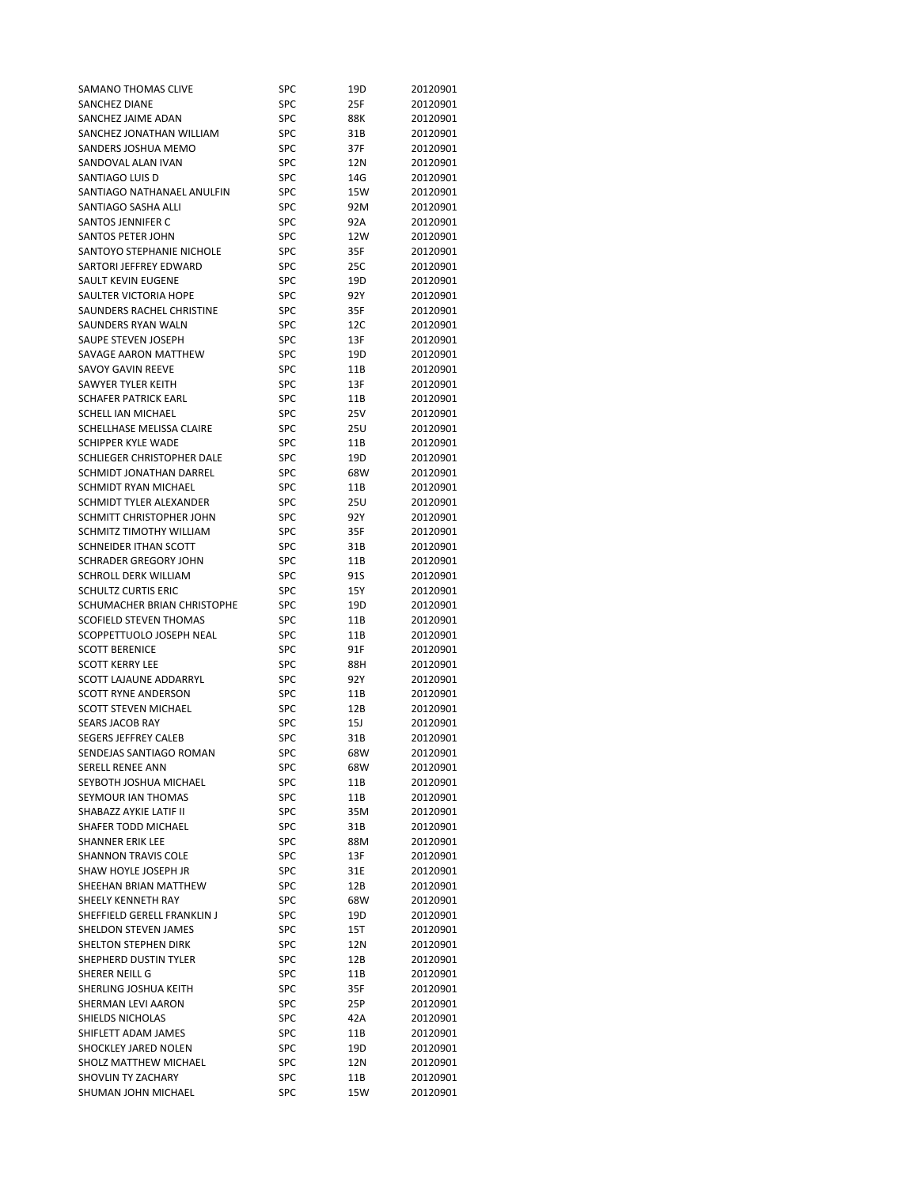| SAMANO THOMAS CLIVE            | SPC        | 19D  | 20120901 |
|--------------------------------|------------|------|----------|
| SANCHEZ DIANE                  | <b>SPC</b> | 25F  | 20120901 |
| SANCHEZ JAIME ADAN             | SPC        | 88K  | 20120901 |
| SANCHEZ JONATHAN WILLIAM       | SPC        | 31B  | 20120901 |
| SANDERS JOSHUA MEMO            | SPC        | 37F  | 20120901 |
| SANDOVAL ALAN IVAN             | SPC        | 12N  | 20120901 |
| SANTIAGO LUIS D                | SPC        | 14G  | 20120901 |
|                                | SPC        |      |          |
| SANTIAGO NATHANAEL ANULFIN     |            | 15W  | 20120901 |
| SANTIAGO SASHA ALLI            | SPC        | 92M  | 20120901 |
| SANTOS JENNIFER C              | SPC        | 92A  | 20120901 |
| <b>SANTOS PETER JOHN</b>       | <b>SPC</b> | 12W  | 20120901 |
| SANTOYO STEPHANIE NICHOLE      | SPC        | 35F  | 20120901 |
| SARTORI JEFFREY EDWARD         | <b>SPC</b> | 25C  | 20120901 |
| SAULT KEVIN EUGENE             | <b>SPC</b> | 19D  | 20120901 |
| SAULTER VICTORIA HOPE          | SPC        | 92 Y | 20120901 |
| SAUNDERS RACHEL CHRISTINE      | <b>SPC</b> | 35F  | 20120901 |
| SAUNDERS RYAN WALN             | <b>SPC</b> | 12C  | 20120901 |
| SAUPE STEVEN JOSEPH            | SPC        | 13F  | 20120901 |
| SAVAGE AARON MATTHEW           | SPC        | 19D  | 20120901 |
| SAVOY GAVIN REEVE              | <b>SPC</b> |      | 20120901 |
|                                |            | 11B  |          |
| SAWYER TYLER KEITH             | SPC        | 13F  | 20120901 |
| <b>SCHAFER PATRICK EARL</b>    | SPC        | 11B  | 20120901 |
| SCHELL IAN MICHAEL             | SPC        | 25V  | 20120901 |
| SCHELLHASE MELISSA CLAIRE      | SPC        | 25U  | 20120901 |
| <b>SCHIPPER KYLE WADE</b>      | <b>SPC</b> | 11B  | 20120901 |
| SCHLIEGER CHRISTOPHER DALE     | SPC        | 19D  | 20120901 |
| <b>SCHMIDT JONATHAN DARREL</b> | <b>SPC</b> | 68W  | 20120901 |
| SCHMIDT RYAN MICHAEL           | <b>SPC</b> | 11B  | 20120901 |
| SCHMIDT TYLER ALEXANDER        | <b>SPC</b> | 25U  | 20120901 |
| SCHMITT CHRISTOPHER JOHN       | <b>SPC</b> | 92Y  | 20120901 |
| SCHMITZ TIMOTHY WILLIAM        | <b>SPC</b> | 35F  | 20120901 |
| SCHNEIDER ITHAN SCOTT          |            |      |          |
|                                | <b>SPC</b> | 31B  | 20120901 |
| SCHRADER GREGORY JOHN          | SPC        | 11B  | 20120901 |
| SCHROLL DERK WILLIAM           | <b>SPC</b> | 91S  | 20120901 |
| <b>SCHULTZ CURTIS ERIC</b>     | SPC        | 15Y  | 20120901 |
| SCHUMACHER BRIAN CHRISTOPHE    | <b>SPC</b> | 19D  | 20120901 |
| <b>SCOFIELD STEVEN THOMAS</b>  | SPC        | 11B  | 20120901 |
| SCOPPETTUOLO JOSEPH NEAL       | SPC        | 11B  | 20120901 |
| <b>SCOTT BERENICE</b>          | <b>SPC</b> | 91F  | 20120901 |
| <b>SCOTT KERRY LEE</b>         | SPC        | 88H  | 20120901 |
| <b>SCOTT LAJAUNE ADDARRYL</b>  | <b>SPC</b> | 92Y  | 20120901 |
| <b>SCOTT RYNE ANDERSON</b>     | <b>SPC</b> | 11B  | 20120901 |
| <b>SCOTT STEVEN MICHAEL</b>    | <b>SPC</b> | 12B  | 20120901 |
| <b>SEARS JACOB RAY</b>         | SPC        | 15J  | 20120901 |
| <b>SEGERS JEFFREY CALEB</b>    | SPC        | 31B  | 20120901 |
|                                |            | 68W  |          |
| SENDEJAS SANTIAGO ROMAN        | SPC        |      | 20120901 |
| <b>SERELL RENEE ANN</b>        | SPC        | 68W  | 20120901 |
| SEYBOTH JOSHUA MICHAEL         | SPC        | 11B  | 20120901 |
| SEYMOUR IAN THOMAS             | SPC        | 11B  | 20120901 |
| SHABAZZ AYKIE LATIF II         | SPC        | 35M  | 20120901 |
| <b>SHAFER TODD MICHAEL</b>     | SPC        | 31B  | 20120901 |
| <b>SHANNER ERIK LEE</b>        | SPC        | 88M  | 20120901 |
| <b>SHANNON TRAVIS COLE</b>     | SPC        | 13F  | 20120901 |
| SHAW HOYLE JOSEPH JR           | SPC        | 31E  | 20120901 |
| SHEEHAN BRIAN MATTHEW          | SPC        | 12B  | 20120901 |
| SHEELY KENNETH RAY             | SPC        | 68W  | 20120901 |
| SHEFFIELD GERELL FRANKLIN J    | SPC        | 19D  | 20120901 |
| SHELDON STEVEN JAMES           | SPC        |      | 20120901 |
|                                |            | 15T  |          |
| <b>SHELTON STEPHEN DIRK</b>    | SPC        | 12N  | 20120901 |
| SHEPHERD DUSTIN TYLER          | SPC        | 12B  | 20120901 |
| SHERER NEILL G                 | SPC        | 11B  | 20120901 |
| SHERLING JOSHUA KEITH          | SPC        | 35F  | 20120901 |
| SHERMAN LEVI AARON             | SPC        | 25P  | 20120901 |
| SHIELDS NICHOLAS               | SPC        | 42A  | 20120901 |
| SHIFLETT ADAM JAMES            |            |      |          |
|                                | SPC        | 11B  | 20120901 |
| SHOCKLEY JARED NOLEN           | SPC        | 19D  | 20120901 |
| SHOLZ MATTHEW MICHAEL          | SPC        | 12N  | 20120901 |
| SHOVLIN TY ZACHARY             | SPC        | 11B  | 20120901 |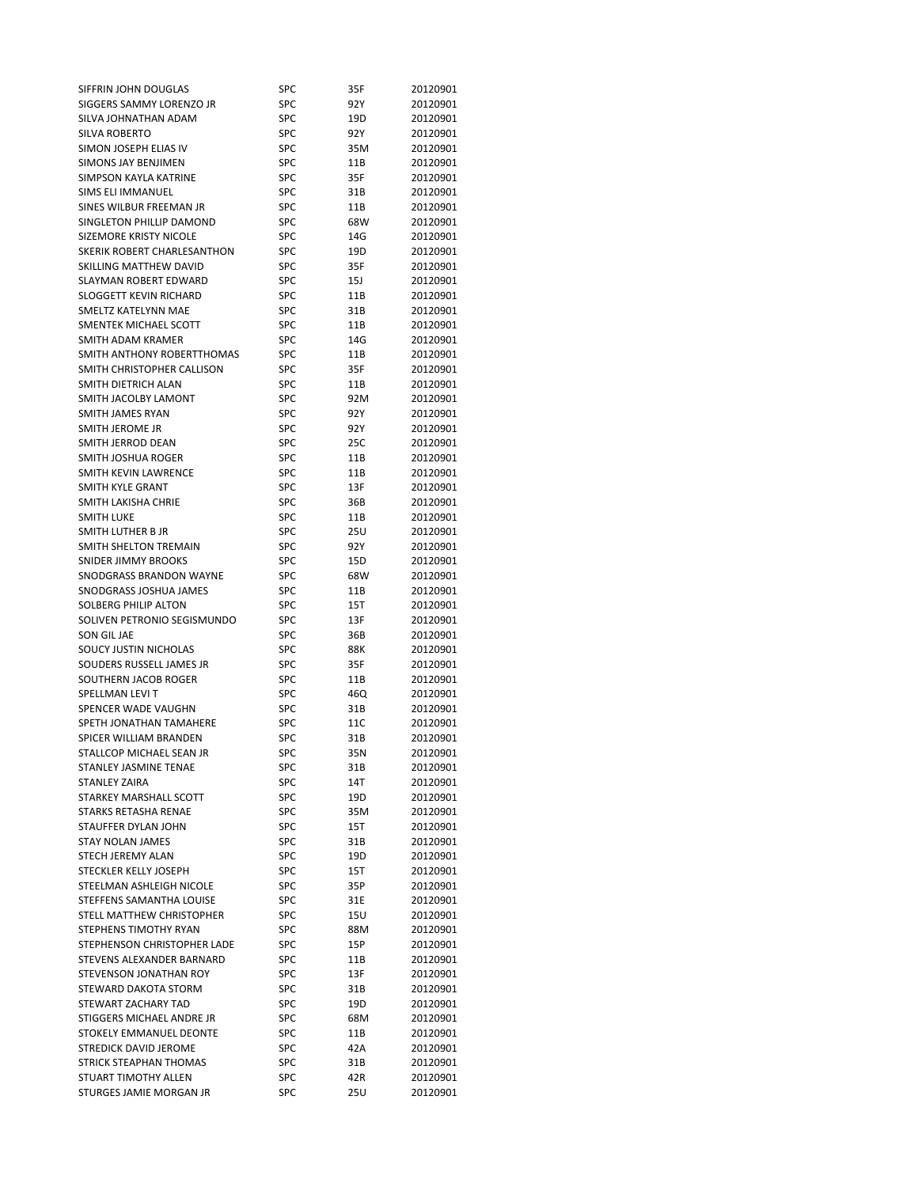| SIFFRIN JOHN DOUGLAS          | SPC        | 35F  | 20120901 |
|-------------------------------|------------|------|----------|
| SIGGERS SAMMY LORENZO JR      | SPC        | 92 Y | 20120901 |
| SILVA JOHNATHAN ADAM          | SPC        | 19D  | 20120901 |
| SILVA ROBERTO                 | <b>SPC</b> | 92Y  | 20120901 |
| SIMON JOSEPH ELIAS IV         | SPC        | 35M  | 20120901 |
| <b>SIMONS JAY BENJIMEN</b>    | <b>SPC</b> | 11B  | 20120901 |
| SIMPSON KAYLA KATRINE         | SPC        | 35F  | 20120901 |
|                               | <b>SPC</b> |      |          |
| SIMS ELI IMMANUEL             |            | 31B  | 20120901 |
| SINES WILBUR FREEMAN JR       | SPC        | 11B  | 20120901 |
| SINGLETON PHILLIP DAMOND      | SPC        | 68W  | 20120901 |
| <b>SIZEMORE KRISTY NICOLE</b> | <b>SPC</b> | 14G  | 20120901 |
| SKERIK ROBERT CHARLESANTHON   | SPC        | 19D  | 20120901 |
| SKILLING MATTHEW DAVID        | SPC        | 35F  | 20120901 |
| SLAYMAN ROBERT EDWARD         | SPC        | 15J  | 20120901 |
| <b>SLOGGETT KEVIN RICHARD</b> | <b>SPC</b> | 11B  | 20120901 |
| SMELTZ KATELYNN MAE           | SPC        | 31B  | 20120901 |
| SMENTEK MICHAEL SCOTT         | SPC        | 11B  | 20120901 |
| SMITH ADAM KRAMER             | <b>SPC</b> | 14G  | 20120901 |
| SMITH ANTHONY ROBERTTHOMAS    | <b>SPC</b> | 11B  | 20120901 |
| SMITH CHRISTOPHER CALLISON    | SPC        |      | 20120901 |
|                               |            | 35F  |          |
| SMITH DIETRICH ALAN           | SPC        | 11B  | 20120901 |
| SMITH JACOLBY LAMONT          | <b>SPC</b> | 92M  | 20120901 |
| <b>SMITH JAMES RYAN</b>       | <b>SPC</b> | 92 Y | 20120901 |
| SMITH JEROME JR               | <b>SPC</b> | 92 Y | 20120901 |
| SMITH JERROD DEAN             | SPC        | 25C  | 20120901 |
| SMITH JOSHUA ROGER            | SPC        | 11B  | 20120901 |
| SMITH KEVIN LAWRENCE          | SPC        | 11B  | 20120901 |
| SMITH KYLE GRANT              | SPC        | 13F  | 20120901 |
| SMITH LAKISHA CHRIE           | <b>SPC</b> | 36B  | 20120901 |
| <b>SMITH LUKE</b>             | SPC        | 11B  | 20120901 |
| SMITH LUTHER B JR             | SPC        | 25U  | 20120901 |
| SMITH SHELTON TREMAIN         | SPC        | 92Y  | 20120901 |
|                               |            |      |          |
| <b>SNIDER JIMMY BROOKS</b>    | <b>SPC</b> | 15D  | 20120901 |
| SNODGRASS BRANDON WAYNE       | SPC        | 68W  | 20120901 |
| SNODGRASS JOSHUA JAMES        | SPC        | 11B  | 20120901 |
| SOLBERG PHILIP ALTON          | <b>SPC</b> | 15T  | 20120901 |
| SOLIVEN PETRONIO SEGISMUNDO   | SPC        | 13F  | 20120901 |
| SON GIL JAE                   | SPC        | 36B  | 20120901 |
| SOUCY JUSTIN NICHOLAS         | SPC        | 88K  | 20120901 |
| SOUDERS RUSSELL JAMES JR      | <b>SPC</b> | 35F  | 20120901 |
| SOUTHERN JACOB ROGER          | SPC        | 11B  | 20120901 |
| SPELLMAN LEVI T               | SPC        | 46Q  | 20120901 |
| SPENCER WADE VAUGHN           | SPC        | 31B  | 20120901 |
| SPETH JONATHAN TAMAHERE       | SPC        | 11C  | 20120901 |
| SPICER WILLIAM BRANDEN        | <b>SPC</b> | 31B  | 20120901 |
|                               | SPC        |      |          |
| STALLCOP MICHAEL SEAN JR      |            | 35N  | 20120901 |
| STANLEY JASMINE TENAE         | <b>SPC</b> | 31B  | 20120901 |
| <b>STANLEY ZAIRA</b>          | SPC        | 14T  | 20120901 |
| STARKEY MARSHALL SCOTT        | SPC        | 19D  | 20120901 |
| <b>STARKS RETASHA RENAE</b>   | SPC        | 35M  | 20120901 |
| <b>STAUFFER DYLAN JOHN</b>    | <b>SPC</b> | 15T  | 20120901 |
| <b>STAY NOLAN JAMES</b>       | SPC        | 31B  | 20120901 |
| <b>STECH JEREMY ALAN</b>      | <b>SPC</b> | 19D  | 20120901 |
| <b>STECKLER KELLY JOSEPH</b>  | SPC        | 15T  | 20120901 |
| STEELMAN ASHLEIGH NICOLE      | SPC        | 35P  | 20120901 |
| STEFFENS SAMANTHA LOUISE      | SPC        | 31E  | 20120901 |
| STELL MATTHEW CHRISTOPHER     | SPC        | 15U  | 20120901 |
| STEPHENS TIMOTHY RYAN         | SPC        | 88M  | 20120901 |
|                               |            |      |          |
| STEPHENSON CHRISTOPHER LADE   | SPC        | 15P  | 20120901 |
| STEVENS ALEXANDER BARNARD     | <b>SPC</b> | 11B  | 20120901 |
| STEVENSON JONATHAN ROY        | <b>SPC</b> | 13F  | 20120901 |
| STEWARD DAKOTA STORM          |            |      | 20120901 |
|                               | SPC        | 31B  |          |
| STEWART ZACHARY TAD           | SPC        | 19D  | 20120901 |
| STIGGERS MICHAEL ANDRE JR     | SPC        | 68M  | 20120901 |
| STOKELY EMMANUEL DEONTE       | SPC        | 11B  | 20120901 |
| <b>STREDICK DAVID JEROME</b>  | SPC        | 42A  | 20120901 |
| STRICK STEAPHAN THOMAS        | SPC        | 31B  | 20120901 |
| STUART TIMOTHY ALLEN          | SPC        | 42R  | 20120901 |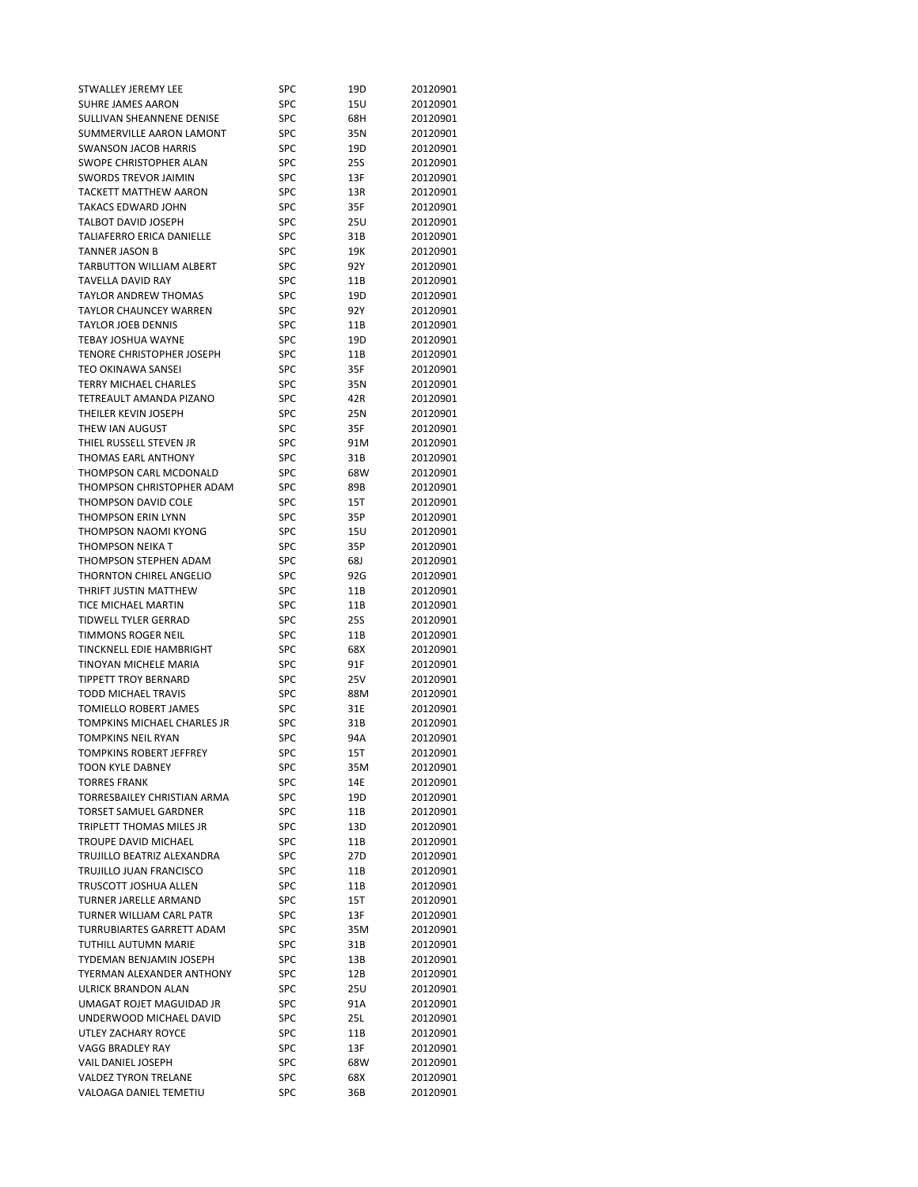| STWALLEY JEREMY LEE           | SPC        | 19D             | 20120901 |
|-------------------------------|------------|-----------------|----------|
| SUHRE JAMES AARON             | SPC        | 15U             | 20120901 |
| SULLIVAN SHEANNENE DENISE     | SPC        | 68H             | 20120901 |
| SUMMERVILLE AARON LAMONT      | SPC        | 35N             | 20120901 |
| <b>SWANSON JACOB HARRIS</b>   | SPC        | 19D             | 20120901 |
| <b>SWOPE CHRISTOPHER ALAN</b> | SPC        | 25S             | 20120901 |
| <b>SWORDS TREVOR JAIMIN</b>   | SPC        | 13F             | 20120901 |
| <b>TACKETT MATTHEW AARON</b>  | SPC        |                 |          |
|                               |            | 13R             | 20120901 |
| TAKACS EDWARD JOHN            | <b>SPC</b> | 35F             | 20120901 |
| TALBOT DAVID JOSEPH           | SPC        | 25U             | 20120901 |
| TALIAFERRO ERICA DANIELLE     | SPC        | 31B             | 20120901 |
| TANNER JASON B                | SPC        | 19K             | 20120901 |
| TARBUTTON WILLIAM ALBERT      | SPC        | 92 Y            | 20120901 |
| <b>TAVELLA DAVID RAY</b>      | <b>SPC</b> | 11B             | 20120901 |
| <b>TAYLOR ANDREW THOMAS</b>   | <b>SPC</b> | 19D             | 20120901 |
| <b>TAYLOR CHAUNCEY WARREN</b> | <b>SPC</b> | 92 Y            | 20120901 |
| TAYLOR JOEB DENNIS            | <b>SPC</b> | 11B             | 20120901 |
| TEBAY JOSHUA WAYNE            | <b>SPC</b> | 19D             | 20120901 |
| TENORE CHRISTOPHER JOSEPH     | SPC        | 11B             | 20120901 |
| TEO OKINAWA SANSEI            | SPC        |                 | 20120901 |
|                               |            | 35F             |          |
| <b>TERRY MICHAEL CHARLES</b>  | SPC        | 35N             | 20120901 |
| TETREAULT AMANDA PIZANO       | SPC        | 42R             | 20120901 |
| THEILER KEVIN JOSEPH          | <b>SPC</b> | 25N             | 20120901 |
| THEW IAN AUGUST               | <b>SPC</b> | 35F             | 20120901 |
| THIEL RUSSELL STEVEN JR       | <b>SPC</b> | 91M             | 20120901 |
| <b>THOMAS EARL ANTHONY</b>    | SPC        | 31B             | 20120901 |
| THOMPSON CARL MCDONALD        | SPC        | 68W             | 20120901 |
| THOMPSON CHRISTOPHER ADAM     | SPC        | 89B             | 20120901 |
| THOMPSON DAVID COLE           | <b>SPC</b> | 15T             | 20120901 |
| <b>THOMPSON ERIN LYNN</b>     | <b>SPC</b> | 35P             | 20120901 |
| THOMPSON NAOMI KYONG          | <b>SPC</b> | 15U             | 20120901 |
| THOMPSON NEIKA T              | SPC        | 35P             | 20120901 |
|                               | SPC        |                 |          |
| THOMPSON STEPHEN ADAM         |            | 68J             | 20120901 |
| THORNTON CHIREL ANGELIO       | SPC        | 92G             | 20120901 |
| THRIFT JUSTIN MATTHEW         | SPC        | 11B             | 20120901 |
| TICE MICHAEL MARTIN           | <b>SPC</b> | 11B             | 20120901 |
| TIDWELL TYLER GERRAD          | SPC        | 25S             | 20120901 |
| <b>TIMMONS ROGER NEIL</b>     | SPC        | 11B             | 20120901 |
| TINCKNELL EDIE HAMBRIGHT      | <b>SPC</b> | 68X             | 20120901 |
| TINOYAN MICHELE MARIA         | SPC        | 91F             | 20120901 |
| <b>TIPPETT TROY BERNARD</b>   | SPC        | 25V             | 20120901 |
| <b>TODD MICHAEL TRAVIS</b>    | SPC        | 88M             | 20120901 |
| TOMIELLO ROBERT JAMES         | SPC        | 31E             | 20120901 |
| TOMPKINS MICHAEL CHARLES JR   | SPC        | 31B             | 20120901 |
| <b>TOMPKINS NEIL RYAN</b>     | SPC        | 94A             | 20120901 |
|                               | SPC        |                 |          |
| TOMPKINS ROBERT JEFFREY       |            | 15T             | 20120901 |
| <b>TOON KYLE DABNEY</b>       | SPC        | 35M             | 20120901 |
| <b>TORRES FRANK</b>           | SPC        | 14E             | 20120901 |
| TORRESBAILEY CHRISTIAN ARMA   | SPC        | 19D             | 20120901 |
| <b>TORSET SAMUEL GARDNER</b>  | <b>SPC</b> | 11B             | 20120901 |
| TRIPLETT THOMAS MILES JR      | <b>SPC</b> | 13D             | 20120901 |
| <b>TROUPE DAVID MICHAEL</b>   | SPC        | 11B             | 20120901 |
| TRUJILLO BEATRIZ ALEXANDRA    | <b>SPC</b> | 27 <sub>D</sub> | 20120901 |
| TRUJILLO JUAN FRANCISCO       | SPC        | 11B             | 20120901 |
| TRUSCOTT JOSHUA ALLEN         | SPC        | 11B             | 20120901 |
| TURNER JARELLE ARMAND         | SPC        | 15T             | 20120901 |
| TURNER WILLIAM CARL PATR      | SPC        | 13F             | 20120901 |
| TURRUBIARTES GARRETT ADAM     | SPC        | 35M             | 20120901 |
| TUTHILL AUTUMN MARIE          | SPC        | 31B             | 20120901 |
|                               |            |                 |          |
| TYDEMAN BENJAMIN JOSEPH       | <b>SPC</b> | 13B             | 20120901 |
| TYERMAN ALEXANDER ANTHONY     | <b>SPC</b> | 12B             | 20120901 |
| ULRICK BRANDON ALAN           | SPC        | 25U             | 20120901 |
| UMAGAT ROJET MAGUIDAD JR      | SPC        | 91A             | 20120901 |
| UNDERWOOD MICHAEL DAVID       | SPC        | 25L             | 20120901 |
| UTLEY ZACHARY ROYCE           | SPC        | 11B             | 20120901 |
| VAGG BRADLEY RAY              | SPC        | 13F             | 20120901 |
| VAIL DANIEL JOSEPH            | SPC        | 68W             | 20120901 |
| <b>VALDEZ TYRON TRELANE</b>   | SPC        | 68X             | 20120901 |
|                               |            | 36B             | 20120901 |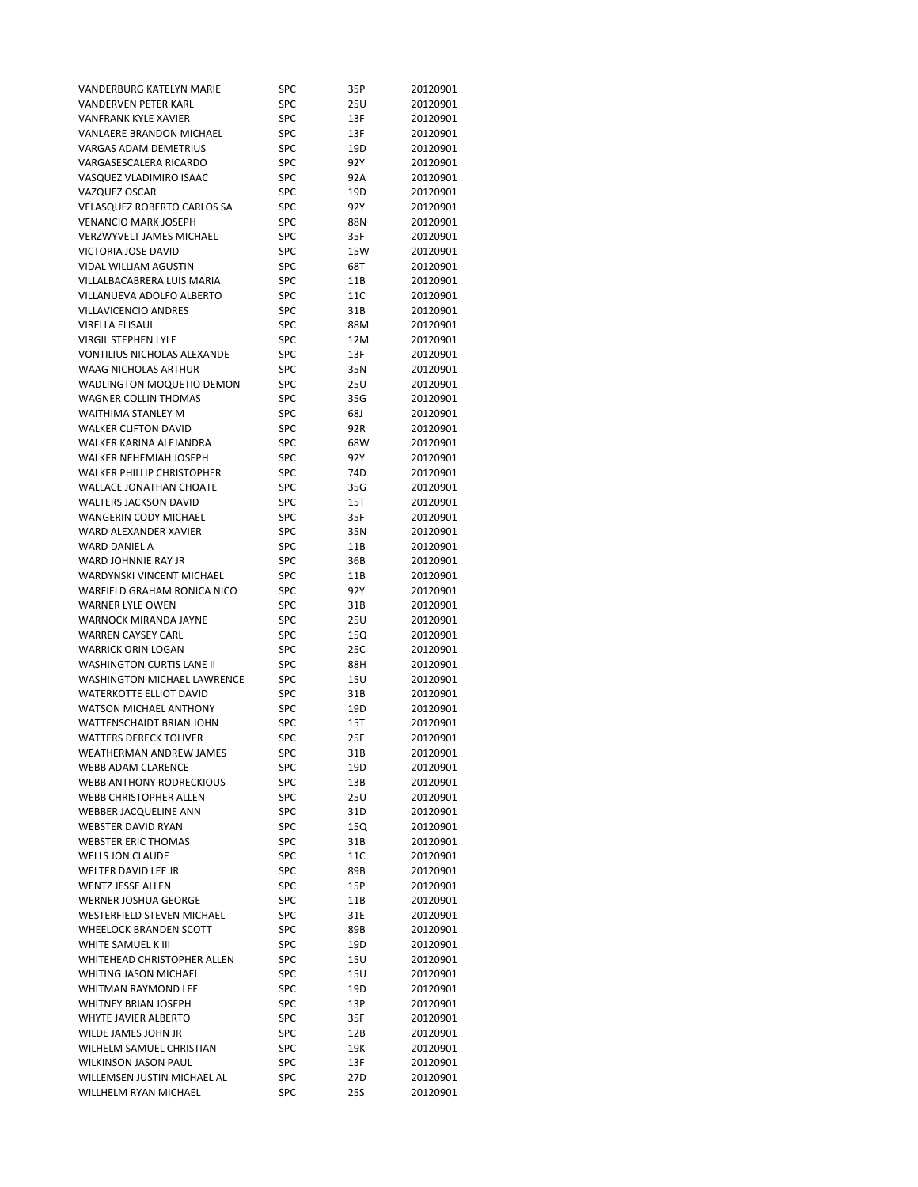| VANDERBURG KATELYN MARIE          | SPC        | 35P  | 20120901 |
|-----------------------------------|------------|------|----------|
| <b>VANDERVEN PETER KARL</b>       | SPC        | 25U  | 20120901 |
| VANFRANK KYLE XAVIER              | SPC        | 13F  | 20120901 |
| VANLAERE BRANDON MICHAEL          | SPC        | 13F  | 20120901 |
| <b>VARGAS ADAM DEMETRIUS</b>      | SPC        | 19D  | 20120901 |
| VARGASESCALERA RICARDO            | SPC        | 92 Y | 20120901 |
| VASQUEZ VLADIMIRO ISAAC           | SPC        | 92A  | 20120901 |
| VAZQUEZ OSCAR                     | SPC        | 19D  | 20120901 |
| VELASQUEZ ROBERTO CARLOS SA       | SPC        | 92 Y | 20120901 |
| <b>VENANCIO MARK JOSEPH</b>       | SPC        | 88N  | 20120901 |
| <b>VERZWYVELT JAMES MICHAEL</b>   | SPC        | 35F  | 20120901 |
| VICTORIA JOSE DAVID               | SPC        | 15W  | 20120901 |
| <b>VIDAL WILLIAM AGUSTIN</b>      | SPC        | 68T  | 20120901 |
| VILLALBACABRERA LUIS MARIA        | SPC        | 11B  | 20120901 |
| VILLANUEVA ADOLFO ALBERTO         | SPC        | 11C  | 20120901 |
| VILLAVICENCIO ANDRES              | SPC        | 31B  | 20120901 |
| VIRELLA ELISAUL                   | SPC        | 88M  | 20120901 |
| <b>VIRGIL STEPHEN LYLE</b>        | SPC        | 12M  | 20120901 |
| VONTILIUS NICHOLAS ALEXANDE       |            |      |          |
|                                   | SPC        | 13F  | 20120901 |
| WAAG NICHOLAS ARTHUR              | SPC        | 35N  | 20120901 |
| WADLINGTON MOQUETIO DEMON         | SPC        | 25U  | 20120901 |
| <b>WAGNER COLLIN THOMAS</b>       | SPC        | 35G  | 20120901 |
| WAITHIMA STANLEY M                | SPC        | 68J  | 20120901 |
| <b>WALKER CLIFTON DAVID</b>       | SPC        | 92R  | 20120901 |
| WALKER KARINA ALEJANDRA           | SPC        | 68W  | 20120901 |
| WALKER NEHEMIAH JOSEPH            | SPC        | 92 Y | 20120901 |
| <b>WALKER PHILLIP CHRISTOPHER</b> | SPC        | 74D  | 20120901 |
| <b>WALLACE JONATHAN CHOATE</b>    | SPC        | 35G  | 20120901 |
| <b>WALTERS JACKSON DAVID</b>      | SPC        | 15T  | 20120901 |
| WANGERIN CODY MICHAEL             | SPC        | 35F  | 20120901 |
| WARD ALEXANDER XAVIER             | SPC        | 35N  | 20120901 |
| <b>WARD DANIEL A</b>              | SPC        | 11B  | 20120901 |
| WARD JOHNNIE RAY JR               | SPC        | 36B  | 20120901 |
| WARDYNSKI VINCENT MICHAEL         | SPC        | 11B  | 20120901 |
| WARFIELD GRAHAM RONICA NICO       | SPC        | 92 Y | 20120901 |
| <b>WARNER LYLE OWEN</b>           | SPC        | 31B  | 20120901 |
| WARNOCK MIRANDA JAYNE             | SPC        | 25U  | 20120901 |
| <b>WARREN CAYSEY CARL</b>         | SPC        | 15Q  | 20120901 |
| <b>WARRICK ORIN LOGAN</b>         | SPC        | 25C  | 20120901 |
| <b>WASHINGTON CURTIS LANE II</b>  | SPC        | 88H  | 20120901 |
| WASHINGTON MICHAEL LAWRENCE       | SPC        | 15U  | 20120901 |
| <b>WATERKOTTE ELLIOT DAVID</b>    | SPC        | 31B  | 20120901 |
| <b>WATSON MICHAEL ANTHONY</b>     | SPC        | 19D  | 20120901 |
| WATTENSCHAIDT BRIAN JOHN          | SPC        | 15T  | 20120901 |
| <b>WATTERS DERECK TOLIVER</b>     | SPC        | 25F  | 20120901 |
| WEATHERMAN ANDREW JAMES           | SPC        | 31B  | 20120901 |
| <b>WEBB ADAM CLARENCE</b>         | SPC        | 19D  | 20120901 |
| <b>WEBB ANTHONY RODRECKIOUS</b>   | SPC        | 13B  | 20120901 |
| <b>WEBB CHRISTOPHER ALLEN</b>     | SPC        | 25U  | 20120901 |
| WEBBER JACQUELINE ANN             | SPC        | 31D  | 20120901 |
| <b>WEBSTER DAVID RYAN</b>         | <b>SPC</b> | 15Q  | 20120901 |
| <b>WEBSTER ERIC THOMAS</b>        | SPC        | 31B  | 20120901 |
| <b>WELLS JON CLAUDE</b>           | SPC        | 11C  | 20120901 |
| <b>WELTER DAVID LEE JR</b>        | SPC        | 89B  | 20120901 |
| <b>WENTZ JESSE ALLEN</b>          | SPC        | 15P  | 20120901 |
| <b>WERNER JOSHUA GEORGE</b>       | SPC        | 11B  | 20120901 |
| <b>WESTERFIELD STEVEN MICHAEL</b> | SPC        | 31E  | 20120901 |
| <b>WHEELOCK BRANDEN SCOTT</b>     |            |      |          |
|                                   | SPC        | 89B  | 20120901 |
| WHITE SAMUEL K III                | SPC        | 19D  | 20120901 |
| WHITEHEAD CHRISTOPHER ALLEN       | SPC        | 15U  | 20120901 |
| WHITING JASON MICHAEL             | SPC        | 15U  | 20120901 |
| WHITMAN RAYMOND LEE               | SPC        | 19D  | 20120901 |
| <b>WHITNEY BRIAN JOSEPH</b>       | SPC        | 13P  | 20120901 |
| WHYTE JAVIER ALBERTO              | SPC        | 35F  | 20120901 |
| WILDE JAMES JOHN JR               | SPC        | 12B  | 20120901 |
| WILHELM SAMUEL CHRISTIAN          | SPC        | 19K  | 20120901 |
| <b>WILKINSON JASON PAUL</b>       | SPC        | 13F  | 20120901 |
| WILLEMSEN JUSTIN MICHAEL AL       | SPC        | 27D  | 20120901 |
| WILLHELM RYAN MICHAEL             | SPC        | 25S  | 20120901 |